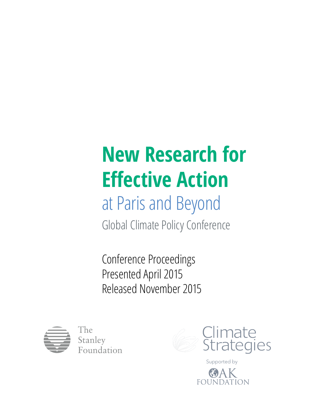# **New Research for Effective Action**

# at Paris and Beyond

Global Climate Policy Conference

Conference Proceedings Presented April 2015 Released November 2015



The Stanley Foundation



Supported byFOU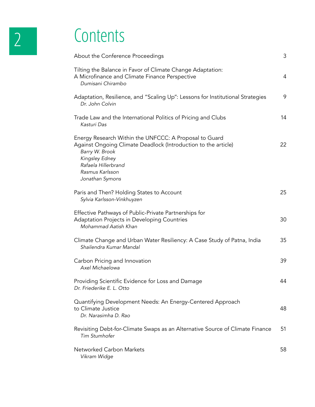# 2 Contents

| About the Conference Proceedings                                                                                                                                                                                          | 3  |
|---------------------------------------------------------------------------------------------------------------------------------------------------------------------------------------------------------------------------|----|
| Tilting the Balance in Favor of Climate Change Adaptation:<br>A Microfinance and Climate Finance Perspective<br>Dumisani Chirambo                                                                                         | 4  |
| Adaptation, Resilience, and "Scaling Up": Lessons for Institutional Strategies<br>Dr. John Colvin                                                                                                                         | 9  |
| Trade Law and the International Politics of Pricing and Clubs<br>Kasturi Das                                                                                                                                              | 14 |
| Energy Research Within the UNFCCC: A Proposal to Guard<br>Against Ongoing Climate Deadlock (Introduction to the article)<br>Barry W. Brook<br>Kingsley Edney<br>Rafaela Hillerbrand<br>Rasmus Karlsson<br>Jonathan Symons | 22 |
| Paris and Then? Holding States to Account<br>Sylvia Karlsson-Vinkhuyzen                                                                                                                                                   | 25 |
| Effective Pathways of Public-Private Partnerships for<br><b>Adaptation Projects in Developing Countries</b><br>Mohammad Aatish Khan                                                                                       | 30 |
| Climate Change and Urban Water Resiliency: A Case Study of Patna, India<br>Shailendra Kumar Mandal                                                                                                                        | 35 |
| Carbon Pricing and Innovation<br>Axel Michaelowa                                                                                                                                                                          | 39 |
| Providing Scientific Evidence for Loss and Damage<br>Dr. Friederike E. L. Otto                                                                                                                                            | 44 |
| Quantifying Development Needs: An Energy-Centered Approach<br>to Climate Justice<br>Dr. Narasimha D. Rao                                                                                                                  | 48 |
| Revisiting Debt-for-Climate Swaps as an Alternative Source of Climate Finance<br>Tim Stumhofer                                                                                                                            | 51 |
| Networked Carbon Markets<br>Vikram Widge                                                                                                                                                                                  | 58 |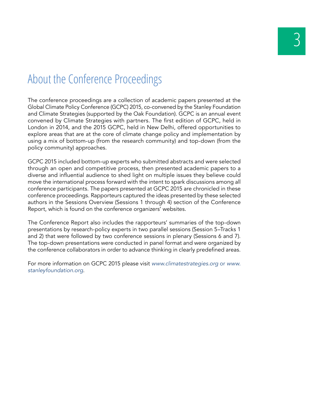### About the Conference Proceedings

The conference proceedings are a collection of academic papers presented at the Global Climate Policy Conference (GCPC) 2015, co-convened by the Stanley Foundation and Climate Strategies (supported by the Oak Foundation). GCPC is an annual event convened by Climate Strategies with partners. The first edition of GCPC, held in London in 2014, and the 2015 GCPC, held in New Delhi, offered opportunities to explore areas that are at the core of climate change policy and implementation by using a mix of bottom-up (from the research community) and top-down (from the policy community) approaches.

GCPC 2015 included bottom-up experts who submitted abstracts and were selected through an open and competitive process, then presented academic papers to a diverse and influential audience to shed light on multiple issues they believe could move the international process forward with the intent to spark discussions among all conference participants. The papers presented at GCPC 2015 are chronicled in these conference proceedings. Rapporteurs captured the ideas presented by these selected authors in the Sessions Overview (Sessions 1 through 4) section of the Conference Report, which is found on the conference organizers' websites.

The Conference Report also includes the rapporteurs' summaries of the top-down presentations by research-policy experts in two parallel sessions (Session 5–Tracks 1 and 2) that were followed by two conference sessions in plenary (Sessions 6 and 7). The top-down presentations were conducted in panel format and were organized by the conference collaborators in order to advance thinking in clearly predefined areas.

For more information on GCPC 2015 please visit *www.climatestrategies.org* or *www. stanleyfoundation.org*.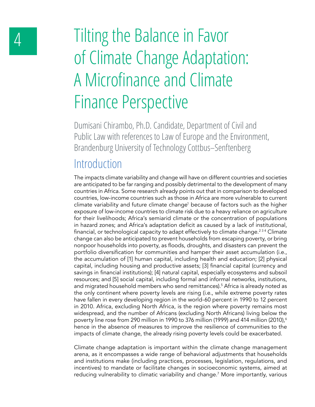# 4 Tilting the Balance in Favor of Climate Change Adaptation: A Microfinance and Climate Finance Perspective

Dumisani Chirambo, Ph.D. Candidate, Department of Civil and Public Law with references to Law of Europe and the Environment, Brandenburg University of Technology Cottbus–Senftenberg

#### Introduction

The impacts climate variability and change will have on different countries and societies are anticipated to be far ranging and possibly detrimental to the development of many countries in Africa. Some research already points out that in comparison to developed countries, low-income countries such as those in Africa are more vulnerable to current climate variability and future climate change<sup>1</sup> because of factors such as the higher exposure of low-income countries to climate risk due to a heavy reliance on agriculture for their livelihoods; Africa's semiarid climate or the concentration of populations in hazard zones; and Africa's adaptation deficit as caused by a lack of institutional, financial, or technological capacity to adapt effectively to climate change.<sup>234</sup> Climate change can also be anticipated to prevent households from escaping poverty, or bring nonpoor households into poverty, as floods, droughts, and disasters can prevent the portfolio diversification for communities and hamper their asset accumulation (i.e., the accumulation of [1] human capital, including health and education; [2] physical capital, including housing and productive assets; [3] financial capital (currency and savings in financial institutions); [4] natural capital, especially ecosystems and subsoil resources; and [5] social capital, including formal and informal networks, institutions, and migrated household members who send remittances).5 Africa is already noted as the only continent where poverty levels are rising (i.e., while extreme poverty rates have fallen in every developing region in the world-60 percent in 1990 to 12 percent in 2010. Africa, excluding North Africa, is the region where poverty remains most widespread, and the number of Africans (excluding North Africans) living below the poverty line rose from 290 million in 1990 to 376 million (1999) and 414 million (2010),<sup>6</sup> hence in the absence of measures to improve the resilience of communities to the impacts of climate change, the already rising poverty levels could be exacerbated.

Climate change adaptation is important within the climate change management arena, as it encompasses a wide range of behavioral adjustments that households and institutions make (including practices, processes, legislation, regulations, and incentives) to mandate or facilitate changes in socioeconomic systems, aimed at reducing vulnerability to climatic variability and change.7 More importantly, various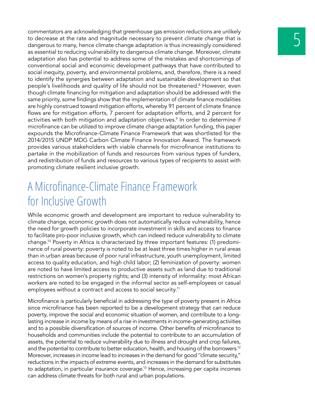commentators are acknowledging that greenhouse gas emission reductions are unlikely<br>to decrease at the rate and magnitude necessary to prevent climate change that is<br>dangerous to many, hence climate change adaptation is th to decrease at the rate and magnitude necessary to prevent climate change that is as essential to reducing vulnerability to dangerous climate change. Moreover, climate adaptation also has potential to address some of the mistakes and shortcomings of conventional social and economic development pathways that have contributed to social inequity, poverty, and environmental problems, and, therefore, there is a need to identify the synergies between adaptation and sustainable development so that people's livelihoods and quality of life should not be threatened.<sup>8</sup> However, even though climate financing for mitigation and adaptation should be addressed with the same priority, some findings show that the implementation of climate finance modalities are highly construed toward mitigation efforts, whereby 91 percent of climate finance flows are for mitigation efforts, 7 percent for adaptation efforts, and 2 percent for activities with both mitigation and adaptation objectives.<sup>9</sup> In order to determine if microfinance can be utilized to improve climate change adaptation funding, this paper expounds the Microfinance-Climate Finance Framework that was shortlisted for the 2014/2015 UNDP MDG Carbon Climate Finance Innovation Award. The framework provides various stakeholders with viable channels for microfinance institutions to partake in the mobilization of funds and resources from various types of funders, and redistribution of funds and resources to various types of recipients to assist with promoting climate resilient inclusive growth.

#### A Microfinance-Climate Finance Framework for Inclusive Growth

While economic growth and development are important to reduce vulnerability to climate change, economic growth does not automatically reduce vulnerability, hence the need for growth policies to incorporate investment in skills and access to finance to facilitate pro-poor inclusive growth, which can indeed reduce vulnerability to climate change.10 Poverty in Africa is characterized by three important features: (1) predominance of rural poverty: poverty is noted to be at least three times higher in rural areas than in urban areas because of poor rural infrastructure, youth unemployment, limited access to quality education, and high child labor; (2) feminization of poverty: women are noted to have limited access to productive assets such as land due to traditional restrictions on women's property rights; and (3) intensity of informality: most African workers are noted to be engaged in the informal sector as self-employees or casual employees without a contract and access to social security.<sup>11</sup>

Microfinance is particularly beneficial in addressing the type of poverty present in Africa since microfinance has been reported to be a development strategy that can reduce poverty, improve the social and economic situation of women, and contribute to a longlasting increase in income by means of a rise in investments in income-generating activities and to a possible diversification of sources of income. Other benefits of microfinance to households and communities include the potential to contribute to an accumulation of assets, the potential to reduce vulnerability due to illness and drought and crop failures, and the potential to contribute to better education, health, and housing of the borrowers.12 Moreover, increases in income lead to increases in the demand for good ''climate security," reductions in the impacts of extreme events, and increases in the demand for substitutes to adaptation, in particular insurance coverage.<sup>13</sup> Hence, increasing per capita incomes can address climate threats for both rural and urban populations.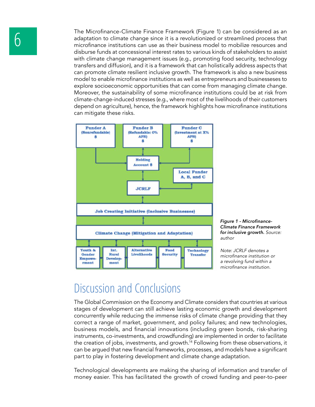The Microfinance-Climate Finance Framework (Figure 1) can be considered as an<br>adaptation to climate change since it is a revolutionized or streamlined process that<br>microfinance institutions can use as their business model adaptation to climate change since it is a revolutionized or streamlined process that microfinance institutions can use as their business model to mobilize resources and disburse funds at concessional interest rates to various kinds of stakeholders to assist with climate change management issues (e.g., promoting food security, technology transfers and diffusion), and it is a framework that can holistically address aspects that can promote climate resilient inclusive growth. The framework is also a new business model to enable microfinance institutions as well as entrepreneurs and businesseses to explore socioeconomic opportunities that can come from managing climate change. Moreover, the sustainability of some microfinance institutions could be at risk from climate-change-induced stresses (e.g., where most of the livelihoods of their customers depend on agriculture), hence, the framework highlights how microfinance institutions can mitigate these risks.





*Note: JCRLF denotes a*  microfinance institution or *a revolving fund within a*  microfinance institution.

#### Discussion and Conclusions

The Global Commission on the Economy and Climate considers that countries at various stages of development can still achieve lasting economic growth and development concurrently while reducing the immense risks of climate change providing that they correct a range of market, government, and policy failures; and new technologies, business models, and financial innovations (including green bonds, risk-sharing instruments, co-investments, and crowdfunding) are implemented in order to facilitate the creation of jobs, investments, and growth.<sup>14</sup> Following from these observations, it can be argued that new financial frameworks, processes, and models have a significant part to play in fostering development and climate change adaptation.

Technological developments are making the sharing of information and transfer of money easier. This has facilitated the growth of crowd funding and peer-to-peer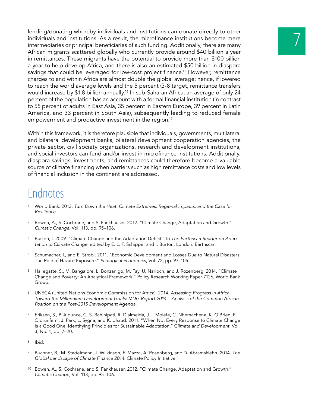lending/donating whereby individuals and institutions can donate directly to other<br>individuals and institutions. As a result, the microfinance institutions become mere<br>intermediaries or principal beneficiaries of such fund individuals and institutions. As a result, the microfinance institutions become mere African migrants scattered globally who currently provide around \$40 billion a year in remittances. These migrants have the potential to provide more than \$100 billion a year to help develop Africa, and there is also an estimated \$50 billion in diaspora savings that could be leveraged for low-cost project finance.<sup>15</sup> However, remittance charges to and within Africa are almost double the global average; hence, if lowered to reach the world average levels and the 5 percent G-8 target, remittance transfers would increase by \$1.8 billion annually.<sup>16</sup> In sub-Saharan Africa, an average of only 24 percent of the population has an account with a formal financial institution (in contrast to 55 percent of adults in East Asia, 35 percent in Eastern Europe, 39 percent in Latin America, and 33 percent in South Asia), subsequently leading to reduced female empowerment and productive investment in the region.<sup>17</sup>

Within this framework, it is therefore plausible that individuals, governments, multilateral and bilateral development banks, bilateral development cooperation agencies, the private sector, civil society organizations, research and development institutions, and social investors can fund and/or invest in microfinance institutions. Additionally, diaspora savings, investments, and remittances could therefore become a valuable source of climate financing when barriers such as high remittance costs and low levels of financial inclusion in the continent are addressed.

- <sup>1</sup> World Bank. 2013. *Turn Down the Heat: Climate Extremes, Regional Impacts, and the Case for Resilience*.
- <sup>2</sup> Bowen, A., S. Cochrane, and S. Fankhauser. 2012. "Climate Change, Adaptation and Growth." *Climatic Change*, Vol. 113, pp. 95–106.
- <sup>3</sup> Burton, I. 2009. "Climate Change and the Adaptation Deficit." In *The Earthscan Reader on Adaptation to Climate Change*, edited by E. L. F. Schipper and I. Burton. London: Earthscan.
- <sup>4</sup> Schumacher, I., and E. Strobl. 2011. "Economic Development and Losses Due to Natural Disasters: The Role of Hazard Exposure." *Ecological Economics*, Vol. 72, pp. 97–105.
- <sup>5</sup> Hallegatte, S., M. Bangalore, L. Bonzanigo, M. Fay, U. Narloch, and J. Rozenberg. 2014. "Climate Change and Poverty: An Analytical Framework." Policy Research Working Paper 7126, World Bank Group.
- <sup>6</sup> UNECA (United Nations Economic Commission for Africa). 2014. *Assessing Progress in Africa Toward the Millennium Development Goals: MDG Report 2014—Analysis of the Common African Position on the Post-2015 Development Agenda*.
- <sup>7</sup> Eriksen, S., P. Aldunce, C. S. Bahinipati, R. D'almeida, J. I. Molefe, C. Nhemachena, K. O'Brien, F. Olorunfemi, J. Park, L. Sygna, and K. Ulsrud. 2011. "When Not Every Response to Climate Change Is a Good One: Identifying Principles for Sustainable Adaptation." C*limate and Development*, Vol. 3, No. 1, pp. 7–20.
- <sup>8</sup> Ibid.
- <sup>9</sup> Buchner, B,; M. Stadelmann, J. Wilkinson, F. Mazza, A. Rosenberg, and D. Abramskiehn. 2014. *The Global Landscape of Climate Finance 2014*. Climate Policy Initiative.
- <sup>10</sup> Bowen, A., S. Cochrane, and S. Fankhauser. 2012. "Climate Change, Adaptation and Growth." *Climatic Change*, Vol. 113, pp. 95–106.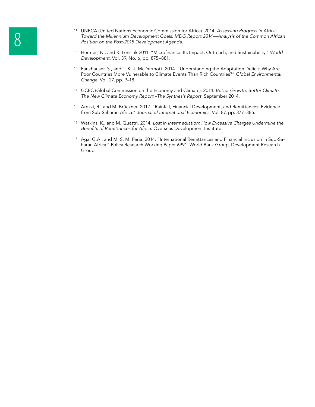- <sup>11</sup> UNECA (United Nations Economic Commission for Africa). 2014. Assessing Progress in Africa<br>Toward the Millennium Development Goals: MDG Report 2014—Analysis of the Common Afr<br>Position on the Post-2015 Development Agend *Toward the Millennium Development Goals: MDG Report 2014—Analysis of the Common African Position on the Post-2015 Development Agenda*.
	- <sup>12</sup> Hermes, N., and R. Lensink 2011. "Microfinance: Its Impact, Outreach, and Sustainability." *World Development*, Vol. 39, No. 6, pp. 875–881.
	- <sup>13</sup> Fankhauser, S., and T. K. J. McDermott. 2014. "Understanding the Adaptation Deficit: Why Are Poor Countries More Vulnerable to Climate Events Than Rich Countries?" *Global Environmental Change*, Vol. 27, pp. 9–18.
	- <sup>14</sup> GCEC (Global Commission on the Economy and Climate). 2014. *Better Growth, Better Climate: The New Climate Economy Report –The Synthesis Report*, September 2014.
	- <sup>15</sup> Arezki, R., and M. Brückner. 2012. "Rainfall, Financial Development, and Remittances: Evidence from Sub-Saharan Africa." *Journal of International Economics*, Vol. 87, pp. 377–385.
	- <sup>16</sup> Watkins, K., and M. Quattri. 2014. *Lost in Intermediation: How Excessive Charges Undermine the*  Benefits of Remittances for Africa. Overseas Development Institute.
	- <sup>17</sup> Aga, G.A., and M. S. M. Peria. 2014. "International Remittances and Financial Inclusion in Sub-Saharan Africa." Policy Research Working Paper 6991. World Bank Group, Development Research Group.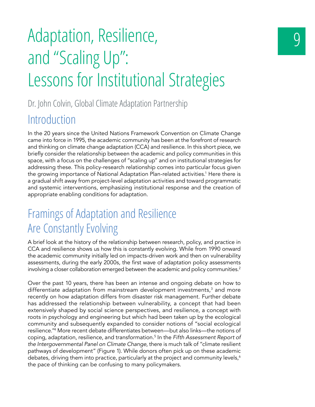# Adaptation, Resilience, and "Scaling Up": Lessons for Institutional Strategies

#### Dr. John Colvin, Global Climate Adaptation Partnership

#### **Introduction**

In the 20 years since the United Nations Framework Convention on Climate Change came into force in 1995, the academic community has been at the forefront of research and thinking on climate change adaptation (CCA) and resilience. In this short piece, we briefly consider the relationship between the academic and policy communities in this space, with a focus on the challenges of "scaling up" and on institutional strategies for addressing these. This policy-research relationship comes into particular focus given the growing importance of National Adaptation Plan-related activities.<sup>1</sup> Here there is a gradual shift away from project-level adaptation activities and toward programmatic and systemic interventions, emphasizing institutional response and the creation of appropriate enabling conditions for adaptation.

### Framings of Adaptation and Resilience Are Constantly Evolving

A brief look at the history of the relationship between research, policy, and practice in CCA and resilience shows us how this is constantly evolving. While from 1990 onward the academic community initially led on impacts-driven work and then on vulnerability assessments, during the early 2000s, the first wave of adaptation policy assessments involving a closer collaboration emerged between the academic and policy communities.<sup>2</sup>

Over the past 10 years, there has been an intense and ongoing debate on how to differentiate adaptation from mainstream development investments, $^{\rm 3}$  and more recently on how adaptation differs from disaster risk management. Further debate has addressed the relationship between vulnerability, a concept that had been extensively shaped by social science perspectives, and resilience, a concept with roots in psychology and engineering but which had been taken up by the ecological community and subsequently expanded to consider notions of "social ecological resilience."<sup>4</sup> More recent debate differentiates between—but also links—the notions of coping, adaptation, resilience, and transformation.5 In the *Fifth Assessment Report of the Intergovernmental Panel on Climate Change*, there is much talk of "climate resilient pathways of development" (Figure 1). While donors often pick up on these academic debates, driving them into practice, particularly at the project and community levels,<sup>6</sup> the pace of thinking can be confusing to many policymakers.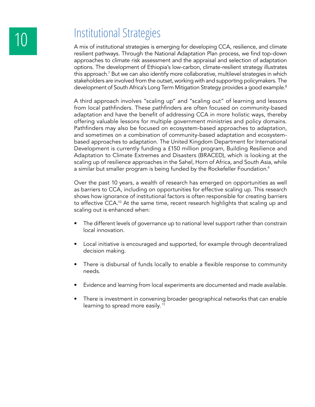## 10 Institutional Strategies

A mix of institutional strategies is emerging for developing CCA, resilience, and climate resilient pathways. Through the National Adaptation Plan process, we find top-down approaches to climate risk assessment and the appraisal and selection of adaptation options. The development of Ethiopia's low-carbon, climate-resilient strategy illustrates this approach.7 But we can also identify more collaborative, multilevel strategies in which stakeholders are involved from the outset, working with and supporting policymakers. The development of South Africa's Long Term Mitigation Strategy provides a good example.<sup>8</sup>

A third approach involves "scaling up" and "scaling out" of learning and lessons from local pathfinders. These pathfinders are often focused on community-based adaptation and have the benefit of addressing CCA in more holistic ways, thereby offering valuable lessons for multiple government ministries and policy domains. Pathfinders may also be focused on ecosystem-based approaches to adaptation, and sometimes on a combination of community-based adaptation and ecosystembased approaches to adaptation. The United Kingdom Department for International Development is currently funding a £150 million program, Building Resilience and Adaptation to Climate Extremes and Disasters (BRACED), which is looking at the scaling up of resilience approaches in the Sahel, Horn of Africa, and South Asia, while a similar but smaller program is being funded by the Rockefeller Foundation.<sup>9</sup>

Over the past 10 years, a wealth of research has emerged on opportunities as well as barriers to CCA, including on opportunities for effective scaling up. This research shows how ignorance of institutional factors is often responsible for creating barriers to effective CCA.10 At the same time, recent research highlights that scaling up and scaling out is enhanced when:

- The different levels of governance up to national level support rather than constrain local innovation.
- Local initiative is encouraged and supported, for example through decentralized decision making.
- There is disbursal of funds locally to enable a flexible response to community needs.
- Evidence and learning from local experiments are documented and made available.
- There is investment in convening broader geographical networks that can enable learning to spread more easily.<sup>11</sup>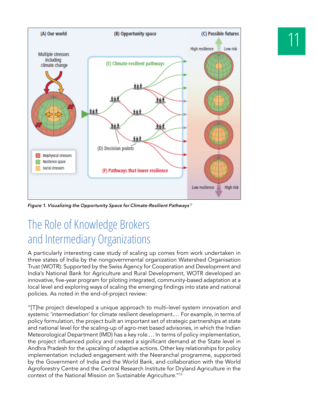

*Figure 1. Visualizing the Opportunity Space for Climate-Resilient Pathways<sup>12</sup>*

### The Role of Knowledge Brokers and Intermediary Organizations

A particularly interesting case study of scaling up comes from work undertaken in three states of India by the nongovernmental organization Watershed Organisation Trust (WOTR). Supported by the Swiss Agency for Cooperation and Development and India's National Bank for Agriculture and Rural Development, WOTR developed an innovative, five-year program for piloting integrated, community-based adaptation at a local level and exploring ways of scaling the emerging findings into state and national policies. As noted in the end-of-project review:

"[T]he project developed a unique approach to multi-level system innovation and systemic 'intermediation' for climate resilient development.... For example, in terms of policy formulation, the project built an important set of strategic partnerships at state and national level for the scaling-up of agro-met based advisories, in which the Indian Meteorological Department (IMD) has a key role.… In terms of policy implementation, the project influenced policy and created a significant demand at the State level in Andhra Pradesh for the upscaling of adaptive actions. Other key relationships for policy implementation included engagement with the Neeranchal programme, supported by the Government of India and the World Bank, and collaboration with the World Agroforestry Centre and the Central Research Institute for Dryland Agriculture in the context of the National Mission on Sustainable Agriculture."13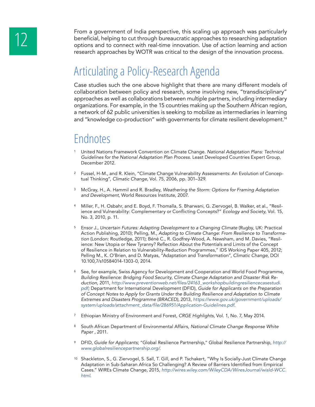From a government of India perspective, this scaling up approach was particularly<br>beneficial, helping to cut through bureaucratic approaches to researching adaptation<br>options and to connect with real-time innovation. Use o beneficial, helping to cut through bureaucratic approaches to researching adaptation research approaches by WOTR was critical to the design of the innovation process.

### Articulating a Policy-Research Agenda

Case studies such the one above highlight that there are many different models of collaboration between policy and research, some involving new, "transdisciplinary" approaches as well as collaborations between multiple partners, including intermediary organizations. For example, in the 15 countries making up the Southern African region, a network of 62 public universities is seeking to mobilize as intermediaries in learning and "knowledge co-production" with governments for climate resilient development.<sup>14</sup>

- <sup>1</sup> United Nations Framework Convention on Climate Change. *National Adaptation Plans: Technical Guidelines for the National Adaptation Plan Process.* Least Developed Countries Expert Group, December 2012.
- <sup>2</sup> Fussel, H-M., and R. Klein, "Climate Change Vulnerability Assessments: An Evolution of Conceptual Thinking", *Climatic Change*, Vol. 75, 2006, pp. 301–329.
- <sup>3</sup> McGray, H., A. Hammil and R. Bradley, *Weathering the Storm: Options for Framing Adaptation and Development,* World Resources Institute, 2007.
- Miller, F., H. Osbahr, and E. Boyd, F. Thomalla, S. Bharwani, G. Ziervogel, B. Walker, et al., "Resilience and Vulnerability: Complementary or Conflicting Concepts?" *Ecology and Society*, Vol. 15, No. 3, 2010, p. 11.
- <sup>5</sup> Ensor J., *Uncertain Futures: Adapting Development to a Changing Climate (Rugby, UK: Practical* Action Publishing, 2010); Pelling, M., *Adapting to Climate Change: From Resilience to Transformation* (London: Routledge, 2011); Béné C., R. Godfrey-Wood, A. Newsham, and M. Davies, "Resilience: New Utopia or New Tyranny? Reflection About the Potentials and Limits of the Concept of Resilience in Relation to Vulnerability-Reduction Programmes," IDS Working Paper 405, 2012; Pelling M., K. O'Brien, and D. Matyas, "Adaptation and Transformation", *Climatic Change,* DOI 10.100,7/s10584014-1303-0, 2014.
- <sup>6</sup> See, for example, Swiss Agency for Development and Cooperation and World Food Programme, *Building Resilience: Bridging Food Security, Climate Change Adaptation and Disaster Risk Reduction*, 2011, http://www.preventionweb.net/files/24163\_workshopbuildingresiliencecasestudi. *pdf;* Department for International Development (DFID), *Guide for Applicants on the Preparation of Concept Notes to Apply for Grants Under the Building Resilience and Adaptation to Climate Extremes and Disasters Programme (BRACED),* 2013, *https://www.gov.uk/government/uploads/* system/uploads/attachment\_data/file/286951/Application-Guidelines.pdf*.*
- <sup>7</sup> Ethiopian Ministry of Environment and Forest, *CRGE Highlights*, Vol. 1, No. 7, May 2014.
- <sup>8</sup> South African Department of Environmental Affairs, *National Climate Change Response White Paper* , 2011.
- <sup>9</sup> DFID, *Guide for Applicants*; "Global Resilience Partnership," Global Resilience Partnership*, http:// www.globalresiliencepartnership.org/*.
- <sup>10</sup> Shackleton, S., G. Ziervogel, S. Sall, T. Gill, and P. Tschakert, "Why Is Socially-Just Climate Change Adaptation in Sub-Saharan Africa So Challenging? A Review of Barriers Identified from Empirical Cases." WIREs Climate Change, 2015, *http://wires.wiley.com/WileyCDA/WiresJournal/wisId-WCC. html*.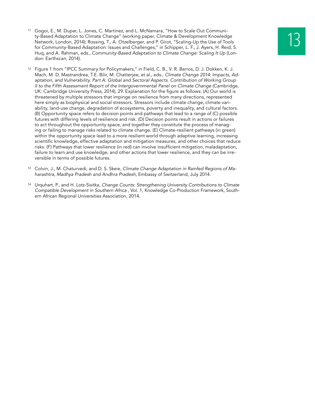- <sup>11</sup> Gogoi, E., M. Dupar, L. Jones, C. Martinez, and L. McNamara, "How to Scale Out Communi-<br>ty-Based Adaptation to Climate Change" (working paper, Climate & Development Knowledge<br>Network, London, 2014); Rossing, T., A. Ot ty-Based Adaptation to Climate Change" (working paper, Climate & Development Knowledge Network, London, 2014); Rossing, T., A. Otzelberger, and P. Girot, "Scaling-Up the Use of Tools Huq, and A. Rahman, eds., *Community-Based Adaptation to Climate Change: Scaling It Up* (London: Earthscan, 2014).
- <sup>12</sup> Figure 1 from "IPCC Summary for Policymakers," in Field, C. B., V. R. Barros, D. J. Dokken, K. J. Mach, M. D. Mastrandrea, T.E. Bilir, M. Chatterjee, et al., eds., *Climate Change 2014: Impacts, Adaptation, and Vulnerability. Part A: Global and Sectoral Aspects. Contribution of Working Group II to the Fifth Assessment Report of the Intergovernmental Panel on Climate Change* (Cambridge, UK: Cambridge University Press, 2014), 29. Explanation for the figure as follows: (A) Our world is threatened by multiple stressors that impinge on resilience from many directions, represented here simply as biophysical and social stressors. Stressors include climate change, climate variability, land-use change, degradation of ecosystems, poverty and inequality, and cultural factors. (B) Opportunity space refers to decision points and pathways that lead to a range of (C) possible futures with differing levels of resilience and risk. (D) Decision points result in actions or failures to act throughout the opportunity space, and together they constitute the process of managing or failing to manage risks related to climate change. (E) Climate-resilient pathways (in green) within the opportunity space lead to a more resilient world through adaptive learning, increasing scientific knowledge, effective adaptation and mitigation measures, and other choices that reduce risks. (F) Pathways that lower resilience (in red) can involve insufficient mitigation, maladaptation, failure to learn and use knowledge, and other actions that lower resilience, and they can be irreversible in terms of possible futures.
- <sup>13</sup> Colvin, J., M. Chaturvedi, and D. S. Skeie, *Climate Change Adaptation in Rainfed Regions of Maharashtra, Madhya Pradesh and Andhra Pradesh*, Embassy of Switzerland, July 2014.
- <sup>14</sup> Urquhart, P., and H. Lotz-Sisitka, *Change Counts: Strengthening University Contributions to Climate Compatible Development in Southern Africa* , Vol. 1, Knowledge Co-Production Framework, Southern African Regional Universities Association, 2014.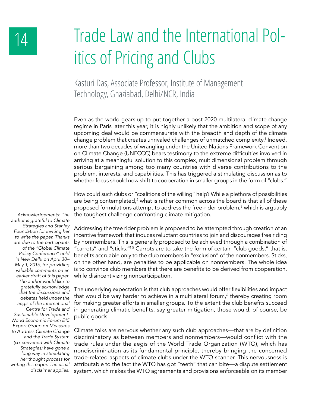# 14 Trade Law and the International Politics of Pricing and Clubs

Kasturi Das, Associate Professor, Institute of Management Technology, Ghaziabad, Delhi/NCR, India

Even as the world gears up to put together a post-2020 multilateral climate change regime in Paris later this year, it is highly unlikely that the ambition and scope of any upcoming deal would be commensurate with the breadth and depth of the climate change problem that creates unrivaled challenges of unmatched complexity.<sup>1</sup> Indeed, more than two decades of wrangling under the United Nations Framework Convention on Climate Change (UNFCCC) bears testimony to the extreme difficulties involved in arriving at a meaningful solution to this complex, multidimensional problem through serious bargaining among too many countries with diverse contributions to the problem, interests, and capabilities. This has triggered a stimulating discussion as to whether focus should now shift to cooperation in smaller groups in the form of "clubs."

How could such clubs or "coalitions of the willing" help? While a plethora of possibilities are being contemplated, $^2$  what is rather common across the board is that all of these proposed formulations attempt to address the free-rider problem,<sup>3</sup> which is arguably the toughest challenge confronting climate mitigation.

Addressing the free rider problem is proposed to be attempted through creation of an incentive framework that induces reluctant countries to join and discourages free riding by nonmembers. This is generally proposed to be achieved through a combination of "carrots" and "sticks."4 5 Carrots are to take the form of certain "club goods," that is, benefits accruable only to the club members in "exclusion" of the nonmembers. Sticks, on the other hand, are penalties to be applicable on nonmembers. The whole idea is to convince club members that there are benefits to be derived from cooperation, while disincentivizing nonparticipation.

The underlying expectation is that club approaches would offer flexibilities and impact that would be way harder to achieve in a multilateral forum,<sup>6</sup> thereby creating room for making greater efforts in smaller groups. To the extent the club benefits succeed in generating climatic benefits, say greater mitigation, those would, of course, be public goods.

Climate folks are nervous whether any such club approaches—that are by definition discriminatory as between members and nonmembers—would conflict with the trade rules under the aegis of the World Trade Organization (WTO), which has nondiscrimination as its fundamental principle, thereby bringing the concerned trade-related aspects of climate clubs under the WTO scanner. This nervousness is attributable to the fact the WTO has got "teeth" that can bite—a dispute settlement system, which makes the WTO agreements and provisions enforceable on its member

*Acknowledgements: The author is grateful to Climate Strategies and Stanley Foundation for inviting her to write the paper. Thanks are due to the participants of the "Global Climate Policy Conference" held*  in New Delhi on April 30– *May 1, 2015, for providing valuable comments on an earlier draft of this paper. The author would like to gratefully acknowledge that the discussions and debates held under the aegis of the International Centre for Trade and Sustainable Development-World Economic Forum E15 Expert Group on Measures to Address Climate Change and the Trade System (co-convened with Climate Strategies) have gone a long way in stimulating her thought process for writing this paper. The usual disclaimer applies.*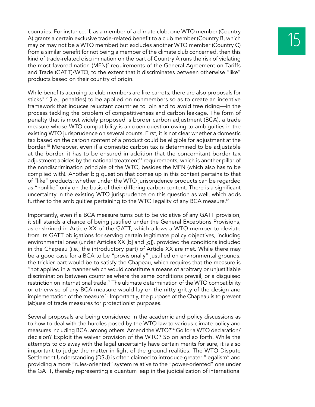countries. For instance, if, as a member of a climate club, one WTO member (Country<br>A) grants a certain exclusive trade-related benefit to a club member (Country B, which<br>may or may not be a WTO member) but excludes anothe A) grants a certain exclusive trade-related benefit to a club member (Country B, which from a similar benefit for not being a member of the climate club concerned, then this kind of trade-related discrimination on the part of Country A runs the risk of violating the most favored nation (MFN)<sup>7</sup> requirements of the General Agreement on Tariffs and Trade (GATT)/WTO, to the extent that it discriminates between otherwise "like" products based on their country of origin.

While benefits accruing to club members are like carrots, there are also proposals for sticks<sup>8, 9</sup> (i.e., penalties) to be applied on nonmembers so as to create an incentive framework that induces reluctant countries to join and to avoid free riding—in the process tackling the problem of competitiveness and carbon leakage. The form of penalty that is most widely proposed is border carbon adjustment (BCA), a trade measure whose WTO compatibility is an open question owing to ambiguities in the existing WTO jurisprudence on several counts. First, it is not clear whether a domestic tax based on the carbon content of a product could be eligible for adjustment at the border.10 Moreover, even if a domestic carbon tax is determined to be adjustable at the border, it has to be ensured in addition that the concomitant border tax adjustment abides by the national treatment<sup>11</sup> requirements, which is another pillar of the nondiscrimination principle of the WTO, besides the MFN (which also has to be complied with). Another big question that comes up in this context pertains to that of "like" products: whether under the WTO jurisprudence products can be regarded as "nonlike" only on the basis of their differing carbon content. There is a significant uncertainty in the existing WTO jurisprudence on this question as well, which adds further to the ambiguities pertaining to the WTO legality of any BCA measure.<sup>12</sup>

Importantly, even if a BCA measure turns out to be violative of any GATT provision, it still stands a chance of being justified under the General Exceptions Provisions, as enshrined in Article XX of the GATT, which allows a WTO member to deviate from its GATT obligations for serving certain legitimate policy objectives, including environmental ones (under Articles XX [b] and [g]), provided the conditions included in the Chapeau (i.e., the introductory part) of Article XX are met. While there may be a good case for a BCA to be "provisionally" justified on environmental grounds, the trickier part would be to satisfy the Chapeau, which requires that the measure is "not applied in a manner which would constitute a means of arbitrary or unjustifiable discrimination between countries where the same conditions prevail, or a disguised restriction on international trade." The ultimate determination of the WTO compatibility or otherwise of any BCA measure would lay on the nitty-gritty of the design and implementation of the measure.<sup>13</sup> Importantly, the purpose of the Chapeau is to prevent (ab)use of trade measures for protectionist purposes.

Several proposals are being considered in the academic and policy discussions as to how to deal with the hurdles posed by the WTO law to various climate policy and measures including BCA, among others. Amend the WTO?14 Go for a WTO declaration/ decision? Exploit the waiver provision of the WTO? So on and so forth. While the attempts to do away with the legal uncertainty have certain merits for sure, it is also important to judge the matter in light of the ground realities. The WTO Dispute Settlement Understanding (DSU) is often claimed to introduce greater "legalism" and providing a more "rules-oriented" system relative to the "power-oriented" one under the GATT, thereby representing a quantum leap in the judicialization of international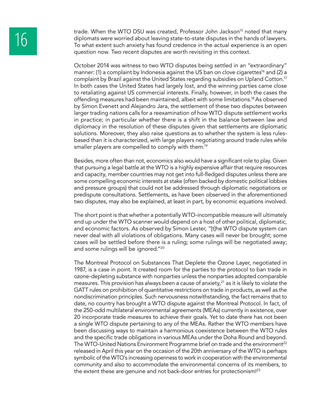trade. When the WTO DSU was created, Professor John Jackson<sup>15</sup> noted that many<br>diplomats were worried about leaving state-to-state disputes in the hands of lawyers.<br>To what extent such anxiety has found credence in the ac diplomats were worried about leaving state-to-state disputes in the hands of lawyers. question now. Two recent disputes are worth revisiting in this context.

> October 2014 was witness to two WTO disputes being settled in an "extraordinary" manner: (1) a complaint by Indonesia against the US ban on clove cigarettes<sup>16</sup> and (2) a complaint by Brazil against the United States regarding subsidies on Upland Cotton.17 In both cases the United States had largely lost, and the winning parties came close to retaliating against US commercial interests. Finally, however, in both the cases the offending measures had been maintained, albeit with some limitations.<sup>18</sup>As observed by Simon Evenett and Alejandro Jara, the settlement of these two disputes between larger trading nations calls for a reexamination of how WTO dispute settlement works in practice; in particular whether there is a shift in the balance between law and diplomacy in the resolution of these disputes given that settlements are diplomatic solutions. Moreover, they also raise questions as to whether the system is less rulesbased than it is characterized, with large players negotiating around trade rules while smaller players are compelled to comply with them.<sup>19</sup>

> Besides, more often than not, economics also would have a significant role to play. Given that pursuing a legal battle at the WTO is a highly expensive affair that require resources and capacity, member countries may not get into full-fledged disputes unless there are some compelling economic interests at stake (often backed by domestic political lobbies and pressure groups) that could not be addressed through diplomatic negotiations or predispute consultations. Settlements, as have been observed in the aforementioned two disputes, may also be explained, at least in part, by economic equations involved.

> The short point is that whether a potentially WTO-incompatible measure will ultimately end up under the WTO scanner would depend on a host of other political, diplomatic, and economic factors. As observed by Simon Lester, "[t]he WTO dispute system can never deal with all violations of obligations. Many cases will never be brought; some cases will be settled before there is a ruling; some rulings will be negotiated away; and some rulings will be ignored."20

> The Montreal Protocol on Substances That Deplete the Ozone Layer, negotiated in 1987, is a case in point. It created room for the parties to the protocol to ban trade in ozone-depleting substance with nonparties unless the nonparties adopted comparable measures. This provision has always been a cause of anxiety, $2<sup>1</sup>$  as it is likely to violate the GATT rules on prohibition of quantitative restrictions on trade in products, as well as the nondiscrimination principles. Such nervousness notwithstanding, the fact remains that to date, no country has brought a WTO dispute against the Montreal Protocol. In fact, of the 250-odd multilateral environmental agreements (MEAs) currently in existence, over 20 incorporate trade measures to achieve their goals. Yet to date there has not been a single WTO dispute pertaining to any of the MEAs. Rather the WTO members have been discussing ways to maintain a harmonious coexistence between the WTO rules and the specific trade obligations in various MEAs under the Doha Round and beyond. The WTO-United Nations Environment Programme brief on trade and the environment<sup>22</sup> released in April this year on the occasion of the 20th anniversary of the WTO is perhaps symbolic of the WTO's increasing openness to work in cooperation with the environmental community and also to accommodate the environmental concerns of its members, to the extent these are genuine and not back-door entries for protectionism!<sup>23</sup>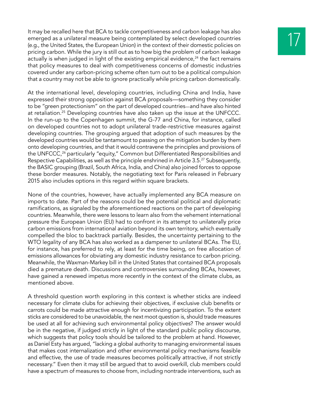It may be recalled here that BCA to tackle competitiveness and carbon leakage has also<br>emerged as a unilateral measure being contemplated by select developed countries<br>(e.g., the United States, the European Union) in the c emerged as a unilateral measure being contemplated by select developed countries pricing carbon. While the jury is still out as to how big the problem of carbon leakage actually is when judged in light of the existing empirical evidence, $24$  the fact remains that policy measures to deal with competitiveness concerns of domestic industries covered under any carbon-pricing scheme often turn out to be a political compulsion that a country may not be able to ignore practically while pricing carbon domestically.

At the international level, developing countries, including China and India, have expressed their strong opposition against BCA proposals—something they consider to be "green protectionism" on the part of developed countries—and have also hinted at retaliation.25 Developing countries have also taken up the issue at the UNFCCC. In the run-up to the Copenhagen summit, the G-77 and China, for instance, called on developed countries not to adopt unilateral trade-restrictive measures against developing countries. The grouping argued that adoption of such measures by the developed countries would be tantamount to passing on the mitigation burden by them onto developing countries, and that it would contravene the principles and provisions of the UNFCCC,<sup>26</sup> particularly "equity," Common but Differentiated Responsibilities and Respective Capabilities, as well as the principle enshrined in Article 3.5.27 Subsequently, the BASIC grouping (Brazil, South Africa, India, and China) also joined forces to oppose these border measures. Notably, the negotiating text for Paris released in February 2015 also includes options in this regard within square brackets.

None of the countries, however, have actually implemented any BCA measure on imports to date. Part of the reasons could be the potential political and diplomatic ramifications, as signaled by the aforementioned reactions on the part of developing countries. Meanwhile, there were lessons to learn also from the vehement international pressure the European Union (EU) had to confront in its attempt to unilaterally price carbon emissions from international aviation beyond its own territory, which eventually compelled the bloc to backtrack partially. Besides, the uncertainty pertaining to the WTO legality of any BCA has also worked as a dampener to unilateral BCAs. The EU, for instance, has preferred to rely, at least for the time being, on free allocation of emissions allowances for obviating any domestic industry resistance to carbon pricing. Meanwhile, the Waxman-Markey bill in the United States that contained BCA proposals died a premature death. Discussions and controversies surrounding BCAs, however, have gained a renewed impetus more recently in the context of the climate clubs, as mentioned above.

A threshold question worth exploring in this context is whether sticks are indeed necessary for climate clubs for achieving their objectives, if exclusive club benefits or carrots could be made attractive enough for incentivizing participation. To the extent sticks are considered to be unavoidable, the next moot question is, should trade measures be used at all for achieving such environmental policy objectives? The answer would be in the negative, if judged strictly in light of the standard public policy discourse, which suggests that policy tools should be tailored to the problem at hand. However, as Daniel Esty has argued, "lacking a global authority to managing environmental issues that makes cost internalization and other environmental policy mechanisms feasible and effective, the use of trade measures becomes politically attractive, if not strictly necessary." Even then it may still be argued that to avoid overkill, club members could have a spectrum of measures to choose from, including nontrade interventions, such as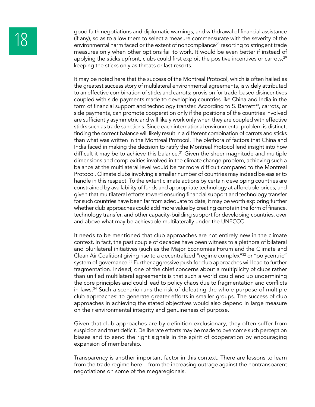good faith negotiations and diplomatic warnings, and withdrawal of financial assistance<br>
(if any), so as to allow them to select a measure commensurate with the severity of the<br>
environmental harm faced or the extent of no (if any), so as to allow them to select a measure commensurate with the severity of the measures only when other options fail to work. It would be even better if instead of applying the sticks upfront, clubs could first exploit the positive incentives or carrots, $2^9$ keeping the sticks only as threats or last resorts.

> It may be noted here that the success of the Montreal Protocol, which is often hailed as the greatest success story of multilateral environmental agreements, is widely attributed to an effective combination of sticks and carrots: provision for trade-based disincentives coupled with side payments made to developing countries like China and India in the form of financial support and technology transfer. According to S. Barrett<sup>30</sup>, carrots, or side payments, can promote cooperation only if the positions of the countries involved are sufficiently asymmetric and will likely work only when they are coupled with effective sticks such as trade sanctions. Since each international environmental problem is distinct, finding the correct balance will likely result in a different combination of carrots and sticks than what was written in the Montreal Protocol. The plethora of factors that China and India faced in making the decision to ratify the Montreal Protocol lend insight into how difficult it may be to achieve this balance.<sup>31</sup> Given the sheer magnitude and multiple dimensions and complexities involved in the climate change problem, achieving such a balance at the multilateral level would be far more difficult compared to the Montreal Protocol. Climate clubs involving a smaller number of countries may indeed be easier to handle in this respect. To the extent climate actions by certain developing countries are constrained by availability of funds and appropriate technology at affordable prices, and given that multilateral efforts toward ensuring financial support and technology transfer for such countries have been far from adequate to date, it may be worth exploring further whether club approaches could add more value by creating carrots in the form of finance, technology transfer, and other capacity-building support for developing countries, over and above what may be achievable multilaterally under the UNFCCC.

> It needs to be mentioned that club approaches are not entirely new in the climate context. In fact, the past couple of decades have been witness to a plethora of bilateral and plurilateral initiatives (such as the Major Economies Forum and the Climate and Clean Air Coalition) giving rise to a decentralized "regime complex"32 or "polycentric" system of governance.<sup>33</sup> Further aggressive push for club approaches will lead to further fragmentation. Indeed, one of the chief concerns about a multiplicity of clubs rather than unified multilateral agreements is that such a world could end up undermining the core principles and could lead to policy chaos due to fragmentation and conflicts in laws.<sup>34</sup> Such a scenario runs the risk of defeating the whole purpose of multiple club approaches: to generate greater efforts in smaller groups. The success of club approaches in achieving the stated objectives would also depend in large measure on their environmental integrity and genuineness of purpose.

> Given that club approaches are by definition exclusionary, they often suffer from suspicion and trust deficit. Deliberate efforts may be made to overcome such perception biases and to send the right signals in the spirit of cooperation by encouraging expansion of membership.

> Transparency is another important factor in this context. There are lessons to learn from the trade regime here—from the increasing outrage against the nontransparent negotiations on some of the megaregionals.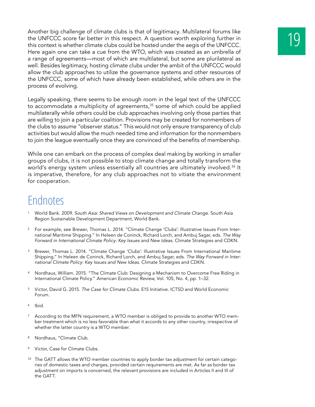Another big challenge of climate clubs is that of legitimacy. Multilateral forums like<br>the UNFCCC score far better in this respect. A question worth exploring further in<br>this context is whether climate clubs could be hoste the UNFCCC score far better in this respect. A question worth exploring further in this context is whether climate clubs could be hosted under the aegis of the UNFCCC. Here again one can take a cue from the WTO, which was created as an umbrella of a range of agreements—most of which are multilateral, but some are plurilateral as well. Besides legitimacy, hosting climate clubs under the ambit of the UNFCCC would allow the club approaches to utilize the governance systems and other resources of the UNFCCC, some of which have already been established, while others are in the process of evolving.

Legally speaking, there seems to be enough room in the legal text of the UNFCCC to accommodate a multiplicity of agreements,<sup>35</sup> some of which could be applied multilaterally while others could be club approaches involving only those parties that are willing to join a particular coalition. Provisions may be created for nonmembers of the clubs to assume "observer status." This would not only ensure transparency of club activities but would allow the much needed time and information for the nonmembers to join the league eventually once they are convinced of the benefits of membership.

While one can embark on the process of complex deal making by working in smaller groups of clubs, it is not possible to stop climate change and totally transform the world's energy system unless essentially all countries are ultimately involved.<sup>36</sup> It is imperative, therefore, for any club approaches not to vitiate the environment for cooperation.

- <sup>1</sup> World Bank. 2009. *South Asia: Shared Views on Development and Climate Change.* South Asia Region Sustainable Development Department, World Bank.
- <sup>2</sup> For example, see Brewer, Thomas L. 2014. "Climate Change 'Clubs': Illustrative Issues From International Maritime Shipping." In Heleen de Coninck, Richard Lorch, and Ambuj Sagar, eds. *The Way Forward in International Climate Policy: Key Issues and New Ideas.* Climate Strategies and CDKN.
- <sup>3</sup> Brewer, Thomas L. 2014. "Climate Change 'Clubs': Illustrative Issues From International Maritime Shipping." In Heleen de Coninck, Richard Lorch, and Ambuj Sagar, eds. *The Way Forward in International Climate Policy: Key Issues and New Ideas.* Climate Strategies and CDKN.
- <sup>4</sup> Nordhaus, William. 2015. "The Climate Club: Designing a Mechanism to Overcome Free Riding in International Climate Policy." *American Economic Review*, Vol. 105, No. 4, pp. 1–32.
- <sup>5</sup> Victor, David G. 2015. *The Case for Climate Clubs*. E15 Initiative. ICTSD and World Economic Forum.
- <sup>6</sup> Ibid.
- <sup>7</sup> According to the MFN requirement, a WTO member is obliged to provide to another WTO member treatment which is no less favorable than what it accords to any other country, irrespective of whether the latter country is a WTO member.
- 8 Nordhaus, "Climate Club.
- <sup>9</sup> Victor, Case for Climate Clubs.
- <sup>10</sup> The GATT allows the WTO member countries to apply border tax adjustment for certain categories of domestic taxes and charges, provided certain requirements are met. As far as border tax adjustment on imports is concerned, the relevant provisions are included in Articles II and III of the GATT.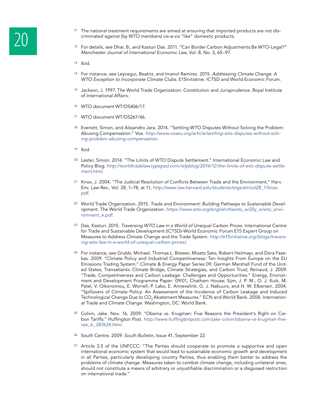- 
- <sup>11</sup> The national treatment requirements are aimed at ensuring that imported products are not dis-<br><sup>12</sup> For details, see Dhar, B., and Kasturi Das. 2011. "Can Border Carbon Adjustments Be WTO-Legal?" criminated against (by WTO members) vis-a-vis "like" domestic products.
	- *Manchester Journal of International Economic Law*, Vol. 8, No. 3, 65–97.
	- $13$  Ibid.
	- <sup>14</sup> For instance, see Leycegui, Beatriz, and Imanol Ramírez. 2015. *Addressing Climate Change: A WTO Exception to Incorporate Climate Clubs.* E15Initiative. ICTSD and World Economic Forum.
	- <sup>15</sup> Jackson, J. 1997. The World Trade Organization: Constitution and Jurisprudence. Royal Institute of International Affairs.
	- <sup>16</sup> WTO document WT/DS406/17.
	- <sup>17</sup> WTO document WT/DS267/46.
	- 18 Evenett, Simon, and Alejandro Jara. 2014. "Settling WTO Disputes Without Solving the Problem: Abusing Compensation." Vox. *http://www.voxeu.org/article/settling-wto-disputes-without-solving-problem-abusing-compensation*.
	- <sup>19</sup> Ibid.
	- <sup>20</sup> Lester, Simon. 2014. "The Limits of WTO Dispute Settlement." International Economic Law and Policy Blog. *http://worldtradelaw.typepad.com/ielpblog/2014/12/the-limits-of-wto-dispute-settlement.html.*
	- <sup>21</sup> Knox, J. 2004. "The Judicial Resolution of Conflicts Between Trade and the Environment," Harv. Env. Law Rev., Vol. 28, 1–78, at 11, http://www.law.harvard.edu/students/orgs/elr/vol28\_1/knox. *pdf.*
	- <sup>22</sup> World Trade Organization. 2015. *Trade and Environment: Building Pathways to Sustainable Development*. The World Trade Organization. https://www.wto.org/english/thewto\_e/20y\_e/wto\_environment\_e.pdf*.*
	- <sup>23</sup> Das, Kasturi. 2015. *Traversing WTO Law in a World of Unequal Carbon Prices*. International Centre for Trade and Sustainable Development (ICTSD)-World Economic Forum E15 Expert Group on Measures to Address Climate Change and the Trade System. *http://e15initiative.org/blogs/traversing-wto-law-in-a-world-of-unequal-carbon-prices/.*
	- <sup>24</sup> For instance, see Grubb, Michael, Thomas L. Brewer, Misato Sato, Robert Heilmayr, and Dora Fazekas. 2009. "Climate Policy and Industrial Competitiveness: Ten Insights From Europe on the EU Emissions Trading System." Climate & Energy Paper Series 09. German Marshall Fund of the United States, Transatlantic Climate Bridge, Climate Strategies, and Carbon Trust; Reinaud, J. 2009. "Trade, Competitiveness and Carbon Leakage: Challenges and Opportunities." Energy, Environment and Development Programme Paper: 09/01, Chatham House; Sijm, J. P. M., O. J. Kuik, M. Patel, V. Oikonomou, E. Worrell, P. Lako, E. Annevelink, G. J. Nabuurs, and H. W. Elbersen. 2004. "Spillovers of Climate Policy: An Assessment of the Incidence of Carbon Leakage and Induced Technological Change Due to CO<sub>2</sub> Abatement Measures." ECN and World Bank. 2008. Internation*al Trade and Climate Change.* Washington, DC: World Bank.
	- <sup>25</sup> Colvin, Jake. Nov. 16, 2009. "Obama vs. Krugman: Five Reasons the President's Right on Carbon Tariffs." Huffington Post*.* http://www.huffingtonpost.com/jake-colvin/obama-vs-krugman-fiverea\_b\_287634.html.
	- <sup>26</sup> South Centre. 2009. *South Bulletin*, Issue 41, September 22.
	- <sup>27</sup> Article 3.5 of the UNFCCC: "The Parties should cooperate to promote a supportive and open international economic system that would lead to sustainable economic growth and development in all Parties, particularly developing country Parties, thus enabling them better to address the problems of climate change. Measures taken to combat climate change, including unilateral ones, should not constitute a means of arbitrary or unjustifiable discrimination or a disguised restriction on international trade."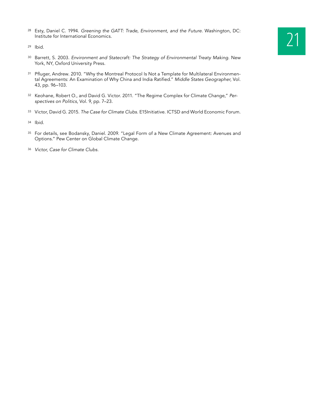<sup>28</sup> Esty, Daniel C. 1994. *Greening the GATT: Trade, Environment, and the Future*. Washington, DC:<br>Institute for International Economics.<br><sup>29</sup> Ibid. Institute for International Economics.

- <sup>29</sup> Ibid.
- <sup>30</sup> Barrett, S. 2003. *Environment and Statecraft: The Strategy of Environmental Treaty Making*. New York, NY, Oxford University Press.
- 31 Pfluger, Andrew. 2010. "Why the Montreal Protocol Is Not a Template for Multilateral Environmental Agreements: An Examination of Why China and India Ratified." *Middle States Geographer,* Vol. 43, pp. 96–103.
- <sup>32</sup> Keohane, Robert O., and David G. Victor. 2011. "The Regime Complex for Climate Change," *Perspectives on Politics*, Vol. 9, pp. 7–23.
- <sup>33</sup> Victor, David G. 2015. *The Case for Climate Clubs*. E15Initiative. ICTSD and World Economic Forum.
- <sup>34</sup> Ibid.
- <sup>35</sup> For details, see Bodansky, Daniel. 2009. "Legal Form of a New Climate Agreement: Avenues and Options." Pew Center on Global Climate Change.
- <sup>36</sup> *Victor, Case for Climate Clubs.*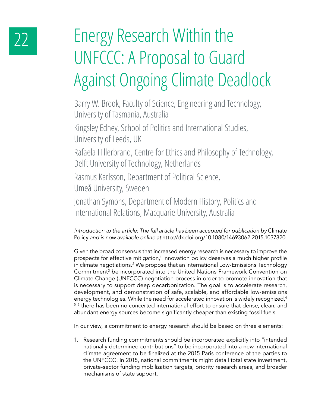# 22 Energy Research Within the UNFCCC: A Proposal to Guard Against Ongoing Climate Deadlock

Barry W. Brook, Faculty of Science, Engineering and Technology, University of Tasmania, Australia

Kingsley Edney, School of Politics and International Studies, University of Leeds, UK

Rafaela Hillerbrand, Centre for Ethics and Philosophy of Technology, Delft University of Technology, Netherlands

Rasmus Karlsson, Department of Political Science, Umeå University, Sweden

Jonathan Symons, Department of Modern History, Politics and International Relations, Macquarie University, Australia

*Introduction to the article: The full article has been accepted for publication by* Climate Policy *and is now available online at* http://dx.doi.org/10.1080/14693062.2015.1037820.

Given the broad consensus that increased energy research is necessary to improve the prospects for effective mitigation,<sup>1</sup> innovation policy deserves a much higher profile in climate negotiations.2 We propose that an international Low-Emissions Technology Commitment<sup>3</sup> be incorporated into the United Nations Framework Convention on Climate Change (UNFCCC) negotiation process in order to promote innovation that is necessary to support deep decarbonization. The goal is to accelerate research, development, and demonstration of safe, scalable, and affordable low-emissions energy technologies. While the need for accelerated innovation is widely recognized,<sup>4</sup> <sup>56</sup> there has been no concerted international effort to ensure that dense, clean, and abundant energy sources become significantly cheaper than existing fossil fuels.

In our view, a commitment to energy research should be based on three elements:

1. Research funding commitments should be incorporated explicitly into "intended nationally determined contributions" to be incorporated into a new international climate agreement to be finalized at the 2015 Paris conference of the parties to the UNFCCC. In 2015, national commitments might detail total state investment, private-sector funding mobilization targets, priority research areas, and broader mechanisms of state support.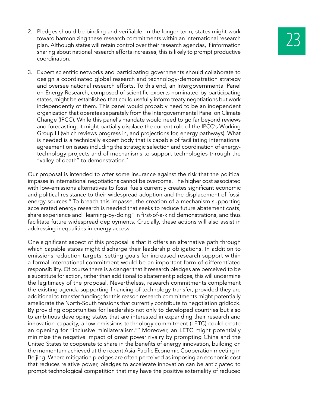- 2. Pledges should be binding and verifiable. In the longer term, states might work<br>toward harmonizing these research commitments within an international research<br>plan. Although states will retain control over their researc toward harmonizing these research commitments within an international research sharing about national research efforts increases, this is likely to prompt productive coordination.
- 3. Expert scientific networks and participating governments should collaborate to design a coordinated global research and technology-demonstration strategy and oversee national research efforts. To this end, an Intergovernmental Panel on Energy Research, composed of scientific experts nominated by participating states, might be established that could usefully inform treaty negotiations but work independently of them. This panel would probably need to be an independent organization that operates separately from the Intergovernmental Panel on Climate Change (IPCC). While this panel's mandate would need to go far beyond reviews and forecasting, it might partially displace the current role of the IPCC's Working Group III (which reviews progress in, and projections for, energy pathways). What is needed is a technically expert body that is capable of facilitating international agreement on issues including the strategic selection and coordination of energytechnology projects and of mechanisms to support technologies through the "valley of death" to demonstration.<sup>7</sup>

Our proposal is intended to offer some insurance against the risk that the political impasse in international negotiations cannot be overcome. The higher cost associated with low-emissions alternatives to fossil fuels currently creates significant economic and political resistance to their widespread adoption and the displacement of fossil energy sources.<sup>8</sup> To breach this impasse, the creation of a mechanism supporting accelerated energy research is needed that seeks to reduce future abatement costs, share experience and "learning-by-doing" in first-of-a-kind demonstrations, and thus facilitate future widespread deployments. Crucially, these actions will also assist in addressing inequalities in energy access.

One significant aspect of this proposal is that it offers an alternative path through which capable states might discharge their leadership obligations. In addition to emissions reduction targets, setting goals for increased research support within a formal international commitment would be an important form of differentiated responsibility. Of course there is a danger that if research pledges are perceived to be a substitute for action, rather than additional to abatement pledges, this will undermine the legitimacy of the proposal. Nevertheless, research commitments complement the existing agenda supporting financing of technology transfer, provided they are additional to transfer funding; for this reason research commitments might potentially ameliorate the North-South tensions that currently contribute to negotiation gridlock. By providing opportunities for leadership not only to developed countries but also to ambitious developing states that are interested in expanding their research and innovation capacity, a low-emissions technology commitment (LETC) could create an opening for "inclusive minilateralism."9 Moreover, an LETC might potentially minimize the negative impact of great power rivalry by prompting China and the United States to cooperate to share in the benefits of energy innovation, building on the momentum achieved at the recent Asia-Pacific Economic Cooperation meeting in Beijing. Where mitigation pledges are often perceived as imposing an economic cost that reduces relative power, pledges to accelerate innovation can be anticipated to prompt technological competition that may have the positive externality of reduced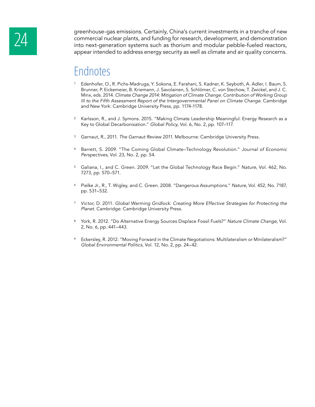greenhouse-gas emissions. Certainly, China's current investments in a tranche of new<br>commercial nuclear plants, and funding for research, development, and demonstration<br>into next-generation systems such as thorium and modu commercial nuclear plants, and funding for research, development, and demonstration appear intended to address energy security as well as climate and air quality concerns.

- <sup>1</sup> Edenhofer, O., R. Pichs-Madruga, Y. Sokona, E. Farahani, S. Kadner, K. Seyboth, A. Adler, I. Baum, S. Brunner, P. Eickemeier, B. Kriemann, J. Savolainen, S. Schlömer, C. von Stechow, T. Zwickel, and J. C. Minx, eds. 2014. *Climate Change 2014: Mitigation of Climate Change. Contribution of Working Group III to the Fifth Assessment Report of the Intergovernmental Panel on Climate Change*. Cambridge and New York: Cambridge University Press, pp. 1174-1178.
- <sup>2</sup> Karlsson, R., and J. Symons. 2015. "Making Climate Leadership Meaningful: Energy Research as a Key to Global Decarbonisation." *Global Policy*, Vol. 6, No. 2, pp. 107–117.
- <sup>3</sup> Garnaut, R., 2011. *The Garnaut Review 2011*. Melbourne: Cambridge University Press.
- <sup>4</sup> Barrett, S. 2009. "The Coming Global Climate–Technology Revolution." *Journal of Economic Perspectives*, Vol. 23, No. 2, pp. 54.
- <sup>5</sup> Galiana, I., and C. Green. 2009. "Let the Global Technology Race Begin." *Nature*, Vol. 462, No. 7273, pp. 570–571.
- <sup>6</sup> Pielke Jr., R., T. Wigley, and C. Green. 2008. "Dangerous Assumptions." *Nature*, Vol. 452, No. 7187, pp. 531–532.
- <sup>7</sup> Victor, D. 2011. *Global Warming Gridlock: Creating More Effective Strategies for Protecting the Planet.* Cambridge: Cambridge University Press.
- <sup>8</sup> York, R. 2012. "Do Alternative Energy Sources Displace Fossil Fuels?" *Nature Climate Change*, Vol. 2, No. 6, pp. 441–443.
- <sup>9</sup> Eckersley, R. 2012. "Moving Forward in the Climate Negotiations: Multilateralism or Minilateralism?" *Global Environmental Politics*, Vol. 12, No. 2, pp. 24–42.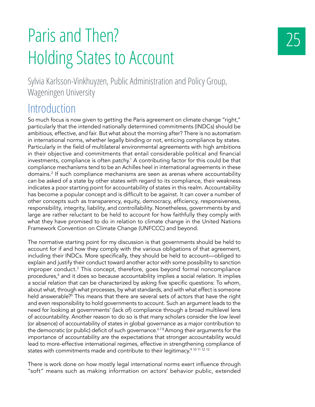# Paris and Then? Holding States to Account

Sylvia Karlsson-Vinkhuyzen, Public Administration and Policy Group, Wageningen University

#### **Introduction**

So much focus is now given to getting the Paris agreement on climate change "right," particularly that the intended nationally determined commitments (INDCs) should be ambitious, effective, and fair. But what about the morning after? There is no automatism in international norms, whether legally binding or not, enticing compliance by states. Particularly in the field of multilateral environmental agreements with high ambitions in their objective and commitments that entail considerable political and financial investments, compliance is often patchy.<sup>1</sup> A contributing factor for this could be that compliance mechanisms tend to be an Achilles heel in international agreements in these domains.2 If such compliance mechanisms are seen as arenas where accountability can be asked of a state by other states with regard to its compliance, their weakness indicates a poor starting point for accountability of states in this realm. Accountability has become a popular concept and is difficult to be against. It can cover a number of other concepts such as transparency, equity, democracy, efficiency, responsiveness, responsibility, integrity, liability, and controllability. Nonetheless, governments by and large are rather reluctant to be held to account for how faithfully they comply with what they have promised to do in relation to climate change in the United Nations Framework Convention on Climate Change (UNFCCC) and beyond.

The normative starting point for my discussion is that governments should be held to account for if and how they comply with the various obligations of that agreement, including their INDCs. More specifically, they should be held to account—obliged to explain and justify their conduct toward another actor with some possibility to sanction improper conduct.<sup>3</sup> This concept, therefore, goes beyond formal noncompliance procedures,<sup>4</sup> and it does so because accountability implies a social relation. It implies a social relation that can be characterized by asking five specific questions: To whom, about what, through what processes, by what standards, and with what effect is someone held answerable?<sup>5</sup> This means that there are several sets of actors that have the right and even responsibility to hold governments to account. Such an argument leads to the need for looking at governments' (lack of) compliance through a broad multilevel lens of accountability. Another reason to do so is that many scholars consider the low level (or absence) of accountability of states in global governance as a major contribution to the democratic (or public) deficit of such governance.<sup>678</sup> Among their arguments for the importance of accountability are the expectations that stronger accountability would lead to more-effective international regimes, effective in strengthening compliance of states with commitments made and contribute to their legitimacy.<sup>9 10 11 12 13</sup>

There is work done on how mostly legal international norms exert influence through "soft" means such as making information on actors' behavior public, extended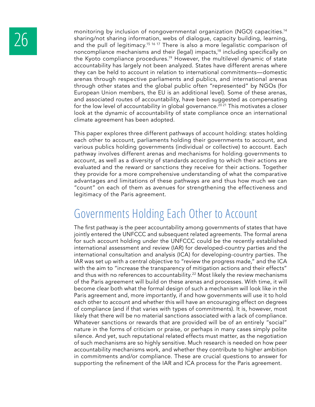monitoring by inclusion of nongovernmental organization (NGO) capacities.<sup>14</sup><br>sharing/not sharing information, webs of dialogue, capacity building, learning,<br>and the pull of legitimacy.<sup>15 16 17</sup> There is also a more legal sharing/not sharing information, webs of dialogue, capacity building, learning, noncompliance mechanisms and their (legal) impacts,18 including specifically on the Kyoto compliance procedures.19 However, the multilevel dynamic of state accountability has largely not been analyzed. States have different arenas where they can be held to account in relation to international commitments—domestic arenas through respective parliaments and publics, and international arenas through other states and the global public often "represented" by NGOs (for European Union members, the EU is an additional level). Some of these arenas, and associated routes of accountability, have been suggested as compensating for the low level of accountability in global governance.<sup>2021</sup> This motivates a closer look at the dynamic of accountability of state compliance once an international climate agreement has been adopted.

> This paper explores three different pathways of account holding: states holding each other to account, parliaments holding their governments to account, and various publics holding governments (individual or collective) to account. Each pathway involves different arenas and mechanisms for holding governments to account, as well as a diversity of standards according to which their actions are evaluated and the reward or sanctions they receive for their actions. Together they provide for a more comprehensive understanding of what the comparative advantages and limitations of these pathways are and thus how much we can "count" on each of them as avenues for strengthening the effectiveness and legitimacy of the Paris agreement.

### Governments Holding Each Other to Account

The first pathway is the peer accountability among governments of states that have jointly entered the UNFCCC and subsequent related agreements. The formal arena for such account holding under the UNFCCC could be the recently established international assessment and review (IAR) for developed-country parties and the international consultation and analysis (ICA) for developing-country parties. The IAR was set up with a central objective to "review the progress made," and the ICA with the aim to "increase the transparency of mitigation actions and their effects" and thus with no references to accountability.<sup>22</sup> Most likely the review mechanisms of the Paris agreement will build on these arenas and processes. With time, it will become clear both what the formal design of such a mechanism will look like in the Paris agreement and, more importantly, if and how governments will use it to hold each other to account and whether this will have an encouraging effect on degrees of compliance (and if that varies with types of commitments). It is, however, most likely that there will be no material sanctions associated with a lack of compliance. Whatever sanctions or rewards that are provided will be of an entirely "social" nature in the forms of criticism or praise, or perhaps in many cases simply polite silence. And yet, such reputational related effects must matter, as the negotiation of such mechanisms are so highly sensitive. Much research is needed on how peer accountability mechanisms work, and whether they contribute to higher ambition in commitments and/or compliance. These are crucial questions to answer for supporting the refinement of the IAR and ICA process for the Paris agreement.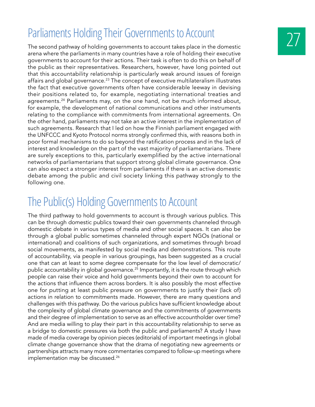### Parliaments Holding Their Governments to Account

The second pathway of holding governments to account takes place in the domestic arena where the parliaments in many countries have a role of holding their executive governments to account for their actions. Their task is often to do this on behalf of the public as their representatives. Researchers, however, have long pointed out that this accountability relationship is particularly weak around issues of foreign affairs and global governance.23 The concept of executive multilateralism illustrates the fact that executive governments often have considerable leeway in devising their positions related to, for example, negotiating international treaties and agreements.<sup>24</sup> Parliaments may, on the one hand, not be much informed about, for example, the development of national communications and other instruments relating to the compliance with commitments from international agreements. On the other hand, parliaments may not take an active interest in the implementation of such agreements. Research that I led on how the Finnish parliament engaged with the UNFCCC and Kyoto Protocol norms strongly confirmed this, with reasons both in poor formal mechanisms to do so beyond the ratification process and in the lack of interest and knowledge on the part of the vast majority of parliamentarians. There are surely exceptions to this, particularly exemplified by the active international networks of parliamentarians that support strong global climate governance. One can also expect a stronger interest from parliaments if there is an active domestic debate among the public and civil society linking this pathway strongly to the following one.

### The Public(s) Holding Governments to Account

The third pathway to hold governments to account is through various publics. This can be through domestic publics toward their own governments channeled through domestic debate in various types of media and other social spaces. It can also be through a global public sometimes channeled through expert NGOs (national or international) and coalitions of such organizations, and sometimes through broad social movements, as manifested by social media and demonstrations. This route of accountability, via people in various groupings, has been suggested as a crucial one that can at least to some degree compensate for the low level of democratic/ public accountability in global governance.<sup>25</sup> Importantly, it is the route through which people can raise their voice and hold governments beyond their own to account for the actions that influence them across borders. It is also possibly the most effective one for putting at least public pressure on governments to justify their (lack of) actions in relation to commitments made. However, there are many questions and challenges with this pathway. Do the various publics have sufficient knowledge about the complexity of global climate governance and the commitments of governments and their degree of implementation to serve as an effective accountholder over time? And are media willing to play their part in this accountability relationship to serve as a bridge to domestic pressures via both the public and parliaments? A study I have made of media coverage by opinion pieces (editorials) of important meetings in global climate change governance show that the drama of negotiating new agreements or partnerships attracts many more commentaries compared to follow-up meetings where implementation may be discussed.<sup>26</sup>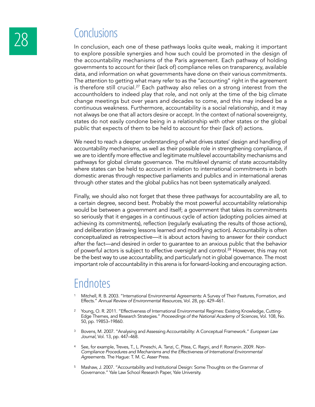## 28 Conclusions

In conclusion, each one of these pathways looks quite weak, making it important to explore possible synergies and how such could be promoted in the design of the accountability mechanisms of the Paris agreement. Each pathway of holding governments to account for their (lack of) compliance relies on transparency, available data, and information on what governments have done on their various commitments. The attention to getting what many refer to as the "accounting" right in the agreement is therefore still crucial.<sup>27</sup> Each pathway also relies on a strong interest from the accountholders to indeed play that role, and not only at the time of the big climate change meetings but over years and decades to come, and this may indeed be a continuous weakness. Furthermore, accountability is a social relationship, and it may not always be one that all actors desire or accept. In the context of national sovereignty, states do not easily condone being in a relationship with other states or the global public that expects of them to be held to account for their (lack of) actions.

We need to reach a deeper understanding of what drives states' design and handling of accountability mechanisms, as well as their possible role in strengthening compliance, if we are to identify more effective and legitimate multilevel accountability mechanisms and pathways for global climate governance. The multilevel dynamic of state accountability where states can be held to account in relation to international commitments in both domestic arenas through respective parliaments and publics and in international arenas through other states and the global publics has not been systematically analyzed.

Finally, we should also not forget that these three pathways for accountability are all, to a certain degree, second best. Probably the most powerful accountability relationship would be between a government and itself; a government that takes its commitments so seriously that it engages in a continuous cycle of action (adopting policies aimed at achieving its commitments), reflection (regularly evaluating the results of those actions), and deliberation (drawing lessons learned and modifying action). Accountability is often conceptualized as retrospective—it is about actors having to answer for their conduct after the fact—and desired in order to guarantee to an anxious public that the behavior of powerful actors is subject to effective oversight and control.<sup>28</sup> However, this may not be the best way to use accountability, and particularly not in global governance. The most important role of accountability in this arena is for forward-looking and encouraging action.

- <sup>1</sup> Mitchell, R. B. 2003. "International Environmental Agreements: A Survey of Their Features, Formation, and Effects." *Annual Review of Environmental Resources*, Vol. 28, pp. 429–461.
- <sup>2</sup> Young, O. R. 2011. "Effectiveness of International Environmental Regimes: Existing Knowledge, Cutting-Edge Themes, and Research Strategies." *Proceedings of the National Academy of Sciences*, Vol. 108, No. 50, pp. 19853–19860.
- <sup>3</sup> Bovens, M. 2007. "Analysing and Assessing Accountability: A Conceptual Framework." *European Law Journal*, Vol. 13, pp. 447–468.
- <sup>4</sup> See, for example, Treves, T., L. Pineschi, A. Tanzi, C. Pitea, C. Ragni, and F. Romanin. 2009. *Non-Compliance Procedures and Mechanisms and the Effectiveness of International Environmental Agreements*. The Hague: T. M. C. Asser Press.
- <sup>5</sup> Mashaw, J. 2007. "Accountability and Institutional Design: Some Thoughts on the Grammar of Governance." Yale Law School Research Paper, Yale University.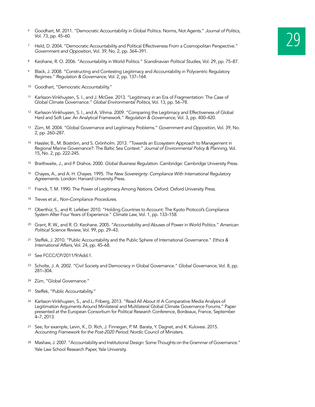- <sup>6</sup> Goodhart, M. 2011. "Democratic Accountability in Global Politics: Norms, Not Agents." Journal of Politics,<br>Vol. 73, pp. 45–60.<br><sup>7</sup> Held, D. 2004. "Democratic Accountability and Political Effectiveness From a Cosmopolit Vol. 73, pp. 45–60.
- *Government and Opposition*, Vol. 39, No. 2, pp. 364–391.
- <sup>8</sup> Keohane, R. O. 2006. "Accountability in World Politics." *Scandinavian Political Studies*, Vol. 29, pp. 75–87.
- <sup>9</sup> Black, J. 2008. "Constructing and Contesting Legitimacy and Accountability in Polycentric Regulatory Regimes." *Regulation & Governance*, Vol. 2, pp. 137–164.
- <sup>10</sup> Goodhart, "Democratic Accountability."
- <sup>11</sup> Karlsson-Vinkhuyzen, S. I., and J. McGee. 2013. "Legitimacy in an Era of Fragmentation: The Case of Global Climate Governance." *Global Environmental Politics*, Vol. 13, pp. 56–78.
- <sup>12</sup> Karlsson-Vinkhuyzen, S. I., and A. Vihma. 2009. "Comparing the Legitimacy and Effectiveness of Global Hard and Soft Law: An Analytical Framework." *Regulation & Governance*, Vol. 3, pp. 400–420.
- <sup>13</sup> Zürn, M. 2004. "Global Governance and Legitimacy Problems." *Government and Opposition*, Vol. 39, No. 2, pp. 260–287.
- <sup>14</sup> Hassler, B., M. Boström, and S. Grönholm. 2013. "Towards an Ecosystem Approach to Management in Regional Marine Governance?: The Baltic Sea Context." *Journal of Environmental Policy & Planning*, Vol. 15, No. 2, pp. 222-245.
- <sup>15</sup> Braithwaite, J., and P. Drahos. 2000. *Global Business Regulation*. Cambridge: Cambridge University Press.
- <sup>16</sup> Chayes, A., and A. H. Chayes. 1995. *The New Sovereignty: Compliance With International Regulatory Agreements*. London: Harvard University Press.
- <sup>17</sup> Franck, T. M. 1990. The Power of Legitimacy Among *Nations*. Oxford: Oxford University Press.
- <sup>18</sup> Treves et al., *Non-Compliance Procedures*.
- <sup>19</sup> Oberthür, S., and R. Lefeber. 2010. "Holding Countries to Account: The Kyoto Protocol's Compliance System After Four Years of Experience." *Climate Law*, Vol. 1, pp. 133–158.
- <sup>20</sup> Grant, R. W., and R. O. Keohane. 2005. "Accountability and Abuses of Power in World Politics." *American Political Science Review*, Vol. 99, pp. 29–43.
- <sup>21</sup> Steffek, J. 2010. "Public Accountability and the Public Sphere of International Governance." *Ethics & International Affairs*, Vol. 24, pp. 45–68.
- <sup>22</sup> See FCCC/CP/2011/9/Add.1.
- <sup>23</sup> Scholte, J. A. 2002. "Civil Society and Democracy in Global Governance." *Global Governance*, Vol. 8, pp. 281–304.
- <sup>24</sup> Zürn, "Global Governance."
- <sup>25</sup> Steffek, "Public Accountability."
- <sup>26</sup> Karlsson-Vinkhuyzen, S., and L. Friberg, 2013. "Read All About it! A Comparative Media Analysis of Legitimation Arguments Around Minilateral and Multilateral Global Climate Governance Forums." Paper presented at the European Consortium for Political Research Conference, Bordeaux, France, September 4–7, 2013.
- <sup>27</sup> See, for example, Levin, K., D. Rich, J. Finnegan, P. M. Barata, Y. Dagnet, and K. Kulovesi. 2015. *Accounting Framework for the Post-2020 Period*. Nordic Council of Ministers.
- <sup>28</sup> Mashaw, J. 2007. "Accountability and Institutional Design: Some Thoughts on the Grammar of Governance." Yale Law School Research Paper, Yale University.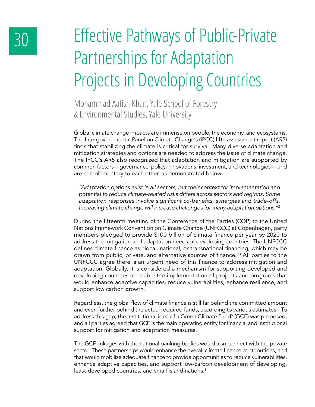# 30 Effective Pathways of Public-Private Partnerships for Adaptation Projects in Developing Countries

Mohammad Aatish Khan, Yale School of Forestry & Environmental Studies, Yale University

Global climate change impacts are immense on people, the economy, and ecosystems. The Intergovernmental Panel on Climate Change's (IPCC) fifth assessment report (AR5) finds that stabilizing the climate is critical for survival. Many diverse adaptation and mitigation strategies and options are needed to address the issue of climate change. The IPCC's AR5 also recognized that adaptation and mitigation are supported by common factors—governance, policy, innovations, investment, and technologies<sup>1</sup>—and are complementary to each other, as demonstrated below.

*"Adaptation options exist in all sectors, but their context for implementation and potential to reduce climate-related risks differs across sectors and regions. Some*  adaptation responses involve significant co-benefits, synergies and trade-offs. *Increasing climate change will increase challenges for many adaptation options."*<sup>2</sup>

During the fifteenth meeting of the Conference of the Parties (COP) to the United Nations Framework Convention on Climate Change (UNFCCC) at Copenhagen, party members pledged to provide \$100 billion of climate finance per year by 2020 to address the mitigation and adaptation needs of developing countries. The UNFCCC defines climate finance as "local, national, or transnational financing, which may be drawn from public, private, and alternative sources of finance."<sup>3</sup> All parties to the UNFCCC agree there is an urgent need of this finance to address mitigation and adaptation. Globally, it is considered a mechanism for supporting developed and developing countries to enable the implementation of projects and programs that would enhance adaptive capacities, reduce vulnerabilities, enhance resilience, and support low carbon growth.

Regardless, the global flow of climate finance is still far behind the committed amount and even further behind the actual required funds, according to various estimates.<sup>4</sup> To address this gap, the institutional idea of a Green Climate Fund<sup>5</sup> (GCF) was proposed, and all parties agreed that GCF is the main operating entity for financial and institutional support for mitigation and adaptation measures.

The GCF linkages with the national banking bodies would also connect with the private sector. These partnerships would enhance the overall climate finance contributions, and that would mobilize adequate finance to provide opportunities to reduce vulnerabilities, enhance adaptive capacities, and support low-carbon development of developing, least-developed countries, and small island nations.<sup>6</sup>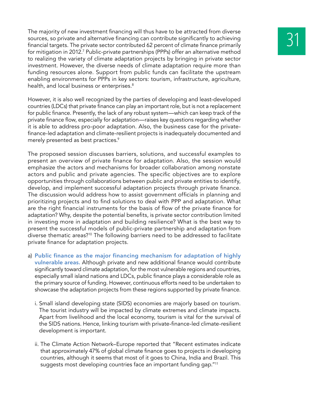The majority of new investment financing will thus have to be attracted from diverse<br>sources, so private and alternative financing can contribute significantly to achieving<br>financial targets. The private sector contribute sources, so private and alternative financing can contribute significantly to achieving for mitigation in 2012.<sup>7</sup> Public-private partnerships (PPPs) offer an alternative method to realizing the variety of climate adaptation projects by bringing in private sector investment. However, the diverse needs of climate adaptation require more than funding resources alone. Support from public funds can facilitate the upstream enabling environments for PPPs in key sectors: tourism, infrastructure, agriculture, health, and local business or enterprises.<sup>8</sup>

However, it is also well recognized by the parties of developing and least-developed countries (LDCs) that private finance can play an important role, but is not a replacement for public finance. Presently, the lack of any robust system—which can keep track of the private finance flow, especially for adaptation—raises key questions regarding whether it is able to address pro-poor adaptation. Also, the business case for the privatefinance-led adaptation and climate-resilient projects is inadequately documented and merely presented as best practices.<sup>9</sup>

The proposed session discusses barriers, solutions, and successful examples to present an overview of private finance for adaptation. Also, the session would emphasize the actors and mechanisms for broader collaboration among nonstate actors and public and private agencies. The specific objectives are to explore opportunities through collaborations between public and private entities to identify, develop, and implement successful adaptation projects through private finance. The discussion would address how to assist government officials in planning and prioritizing projects and to find solutions to deal with PPP and adaptation. What are the right financial instruments for the basis of flow of the private finance for adaptation? Why, despite the potential benefits, is private sector contribution limited in investing more in adaptation and building resilience? What is the best way to present the successful models of public-private partnership and adaptation from diverse thematic areas?10 The following barriers need to be addressed to facilitate private finance for adaptation projects.

- a) **Public finance as the major financing mechanism for adaptation of highly vulnerable areas.** Although private and new additional finance would contribute significantly toward climate adaptation, for the most vulnerable regions and countries, especially small island nations and LDCs, public finance plays a considerable role as the primary source of funding. However, continuous efforts need to be undertaken to showcase the adaptation projects from these regions supported by private finance.
	- i. Small island developing state (SIDS) economies are majorly based on tourism. The tourist industry will be impacted by climate extremes and climate impacts. Apart from livelihood and the local economy, tourism is vital for the survival of the SIDS nations. Hence, linking tourism with private-finance-led climate-resilient development is important.
	- ii. The Climate Action Network–Europe reported that "Recent estimates indicate that approximately 47% of global climate finance goes to projects in developing countries, although it seems that most of it goes to China, India and Brazil. This suggests most developing countries face an important funding gap."11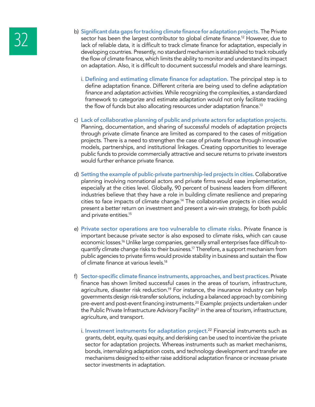- b) **Significant data gaps for tracking climate finance for adaptation projects.** The Private sector has been the largest contributor to global climate finance.<sup>12</sup> However, due to lack of reliable data, it is difficult to sector has been the largest contributor to global climate finance.<sup>12</sup> However, due to developing countries. Presently, no standard mechanism is established to track robustly the flow of climate finance, which limits the ability to monitor and understand its impact on adaptation. Also, it is difficult to document successful models and share learnings.
	- i. **Defining and estimating climate finance for adaptation.** The principal step is to define adaptation finance. Different criteria are being used to define *adaptation*  finance and *adaptation activities*. While recognizing the complexities, a standardized framework to categorize and estimate adaptation would not only facilitate tracking the flow of funds but also allocating resources under adaptation finance.<sup>13</sup>
	- c) **Lack of collaborative planning of public and private actors for adaptation projects.** Planning, documentation, and sharing of successful models of adaptation projects through private climate finance are limited as compared to the cases of mitigation projects. There is a need to strengthen the case of private finance through innovative models, partnerships, and institutional linkages. Creating opportunities to leverage public funds to provide commercially attractive and secure returns to private investors would further enhance private finance.
	- d) **Setting the example of public-private partnership-led projects in cities.** Collaborative planning involving nonnational actors and private firms would ease implementation, especially at the cities level. Globally, 90 percent of business leaders from different industries believe that they have a role in building climate resilience and preparing cities to face impacts of climate change.<sup>14</sup> The collaborative projects in cities would present a better return on investment and present a win-win strategy, for both public and private entities.15
	- e) **Private sector operations are too vulnerable to climate risks.** Private finance is important because private sector is also exposed to climate risks, which can cause economic losses.16 Unlike large companies, generally small enterprises face difficult-toquantify climate change risks to their business.17 Therefore, a support mechanism from public agencies to private firms would provide stability in business and sustain the flow of climate finance at various levels.18
	- f) **Sector-specific climate finance instruments, approaches, and best practices.** Private finance has shown limited successful cases in the areas of tourism, infrastructure, agriculture, disaster risk reduction.<sup>19</sup> For instance, the insurance industry can help governments design risk-transfer solutions, including a balanced approach by combining pre-event and post-event financing instruments.20 Example: projects undertaken under the Public Private Infrastructure Advisory Facility<sup>21</sup> in the area of tourism, infrastructure, agriculture, and transport.
		- i. **Investment instruments for adaptation project.**22 Financial instruments such as grants, debt, equity, quasi equity, and derisking can be used to incentivize the private sector for adaptation projects. Whereas instruments such as market mechanisms, bonds, internalizing adaptation costs, and technology development and transfer are mechanisms designed to either raise additional adaptation finance or increase private sector investments in adaptation.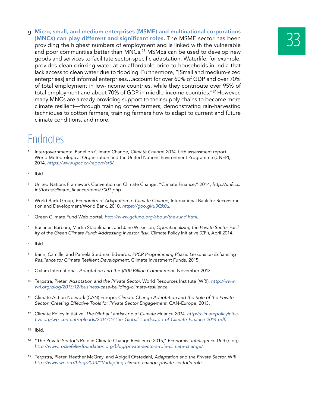g. Micro, small, and medium enterprises (MSME) and multinational corporations<br>
(MNCs) can play different and significant roles. The MSME sector has been<br>
providing the highest numbers of employment and is linked with the v **(MNCs) can play different and significant roles.** The MSME sector has been and poor communities better than MNCs.<sup>23</sup> MSMEs can be used to develop new goods and services to facilitate sector-specific adaptation. Waterlife, for example, provides clean drinking water at an affordable price to households in India that lack access to clean water due to flooding. Furthermore, "[Small and medium-sized enterprises] and informal enterprises…account for over 60% of GDP and over 70% of total employment in low-income countries, while they contribute over 95% of total employment and about 70% of GDP in middle-income countries."<sup>24</sup> However, many MNCs are already providing support to their supply chains to become more climate resilient—through training coffee farmers, demonstrating rain-harvesting techniques to cotton farmers, training farmers how to adapt to current and future climate conditions, and more.

- <sup>1</sup> Intergovernmental Panel on Climate Change, *Climate Change 2014*, fifth assessment report. World Meteorological Organization and the United Nations Environment Programme (UNEP), 2014, *https://www.ipcc.ch/report/ar5/*.
- <sup>2</sup> Ibid.
- <sup>3</sup> United Nations Framework Convention on Climate Change, "Climate Finance," 2014, *http://unfccc.* int/focus/climate\_finance/items/7001.php.
- <sup>4</sup> World Bank Group, *Economics of Adaptation to Climate Change,* International Bank for Reconstruction and Development/World Bank, 2010, https://goo.gl/u3Qk0u.
- <sup>5</sup> Green Climate Fund Web portal, *http://www.gcfund.org/about/the-fund.html*.
- <sup>6</sup> Buchner, Barbara, Martin Stadelmann, and Jane Wilkinson, *Operationalizing the Private Sector Facility of the Green Climate Fund: Addressing Investor Risk*, Climate Policy Initiative (CPI), April 2014.
- <sup>7</sup> Ibid.
- <sup>8</sup> Bann, Camille, and Pamela Stedman Edwards, *PPCR Programming Phase: Lessons on Enhancing Resilience for Climate Resilient Development*, Climate Investment Funds, 2015.
- <sup>9</sup> Oxfam International, *Adaptation and the \$100 Billion Commitment*, November 2013.
- <sup>10</sup> Terpstra, Pieter, *Adaptation and the Private Sector*, World Resources Institute (WRI), *http://www.* wri.org/blog/2013/12/business*-case-building-climate-resilience*.
- <sup>11</sup> Climate Action Network (CAN) Europe, *Climate Change Adaptation and the Role of the Private Sector: Creating Effective Tools for Private Sector Engagement*, CAN-Europe, 2013.
- <sup>12</sup> Climate Policy Initiative, *The Global Landscape of Climate Finance 2014*, *http://climatepolicyinitiative.org/wp-content/uploads/2014/11/The-Global-Landscape-of-Climate-Finance-2014.pdf*.
- <sup>13</sup> Ibid.
- <sup>14</sup> "The Private Sector's Role in Climate Change Resilience 2015," *Economist Intelligence Unit* (blog), *http://www.rockefellerfoundation.org/blog/private-sectors-role-climate-change/*.
- <sup>15</sup> Terpstra, Pieter, Heather McGray, and Abigail Ofstedahl, *Adaptation and the Private Sector*, WRI, http://www.wri.org/blog/2013/11/adapting*-climate-change-private-sector's-role.*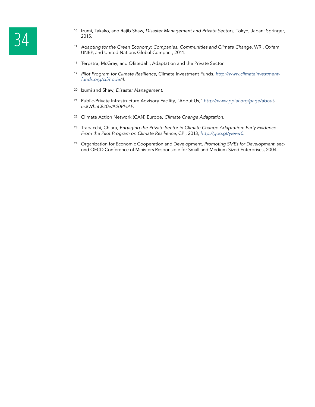- <sup>16</sup> Izumi, Takako, and Rajib Shaw, *Disaster Management and Private Sectors*, Tokyo, Japan: Springer,<br><sup>2015.</sup> Adapting for the Green Economy: Companies, Communities and Climate Change, WRI, Oxfam, 2015.
	- UNEP, and United Nations Global Compact, 2011.
	- <sup>18</sup> Terpstra, McGray, and Ofstedahl, Adaptation and the Private Sector.
	- <sup>19</sup> *Pilot Program for Climate Resilience*, Climate Investment Funds. *http://www.climateinvestmentfunds.org/cif/node/4*.
	- <sup>20</sup> Izumi and Shaw, *Disaster Management*.
	- <sup>21</sup> Public-Private Infrastructure Advisory Facility, "About Us," *http://www.ppiaf.org/page/aboutus#What%20is%20PPIAF*.
	- <sup>22</sup> Climate Action Network (CAN) Europe, *Climate Change Adaptation.*
	- <sup>23</sup> Trabacchi, Chiara, *Engaging the Private Sector in Climate Change Adaptation: Early Evidence From the Pilot Program on Climate Resilience*, CPI, 2013, *http://goo.gl/yievw0*.
	- <sup>24</sup> Organization for Economic Cooperation and Development, *Promoting SMEs for Development*, second OECD Conference of Ministers Responsible for Small and Medium-Sized Enterprises, 2004.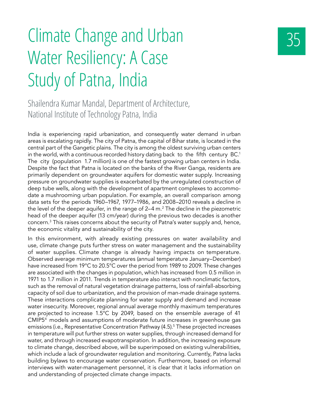# 35 Climate Change and Urban Water Resiliency: A Case Study of Patna, India

Shailendra Kumar Mandal, Department of Architecture, National Institute of Technology Patna, India

India is experiencing rapid urbanization, and consequently water demand in urban areas is escalating rapidly. The city of Patna, the capital of Bihar state, is located in the central part of the Gangetic plains. The city is among the oldest surviving urban centers in the world, with a continuous recorded history dating back to the fifth century BC.<sup>1</sup> The city (population 1.7 million) is one of the fastest growing urban centers in India. Despite the fact that Patna is located on the banks of the River Ganga, residents are primarily dependent on groundwater aquifers for domestic water supply. Increasing pressure on groundwater supplies is exacerbated by the unregulated construction of deep tube wells, along with the development of apartment complexes to accommodate a mushrooming urban population. For example, an overall comparison among data sets for the periods 1960–1967, 1977–1986, and 2008–2010 reveals a decline in the level of the deeper aquifer, in the range of 2–4 m. $^2$  The decline in the piezometric head of the deeper aquifer (13 cm/year) during the previous two decades is another concern. $^3$  This raises concerns about the security of Patna's water supply and, hence, the economic vitality and sustainability of the city.

In this environment, with already existing pressures on water availability and use, climate change puts further stress on water management and the sustainability of water supplies. Climate change is already having impacts on temperature. Observed average minimum temperatures (annual temperature January–December) have increased from 19°C to 20.5°C over the period from 1989 to 2009. These changes are associated with the changes in population, which has increased from 0.5 million in 1971 to 1.7 million in 2011. Trends in temperature also interact with nonclimatic factors, such as the removal of natural vegetation drainage patterns, loss of rainfall-absorbing capacity of soil due to urbanization, and the provision of man-made drainage systems. These interactions complicate planning for water supply and demand and increase water insecurity. Moreover, regional annual average monthly maximum temperatures are projected to increase 1.5°C by 2049, based on the ensemble average of 41 CMIP5<sup>4</sup> models and assumptions of moderate future increases in greenhouse gas emissions (i.e., Representative Concentration Pathway (4.5).<sup>5</sup> These projected increases in temperature will put further stress on water supplies, through increased demand for water, and through increased evapotranspiration. In addition, the increasing exposure to climate change, described above, will be superimposed on existing vulnerabilities, which include a lack of groundwater regulation and monitoring. Currently, Patna lacks building bylaws to encourage water conservation. Furthermore, based on informal interviews with water-management personnel, it is clear that it lacks information on and understanding of projected climate change impacts.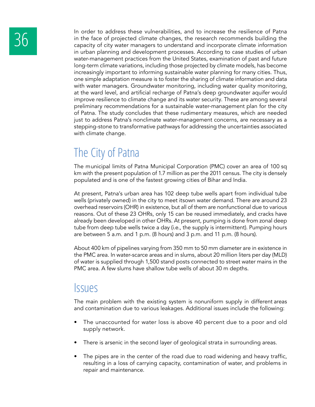In order to address these vulnerabilities, and to increase the resilience of Patna<br>in the face of projected climate changes, the research recommends building the<br>capacity of city water managers to understand and incorporat in the face of projected climate changes, the research recommends building the capacity of city water managers to understand and incorporate climate information in urban planning and development processes. According to case studies of urban water-management practices from the United States, examination of past and future long-term climate variations, including those projected by climate models, has become increasingly important to informing sustainable water planning for many cities. Thus, one simple adaptation measure is to foster the sharing of climate information and data with water managers. Groundwater monitoring, including water quality monitoring, at the ward level, and artificial recharge of Patna's deep groundwater aquifer would improve resilience to climate change and its water security. These are among several preliminary recommendations for a sustainable water-management plan for the city of Patna. The study concludes that these rudimentary measures, which are needed just to address Patna's nonclimate water-management concerns, are necessary as a stepping-stone to transformative pathways for addressing the uncertainties associated with climate change.

### The City of Patna

The municipal limits of Patna Municipal Corporation (PMC) cover an area of 100 sq km with the present population of 1.7 million as per the 2011 census. The city is densely populated and is one of the fastest growing cities of Bihar and India.

At present, Patna's urban area has 102 deep tube wells apart from individual tube wells (privately owned) in the city to meet itsown water demand. There are around 23 overhead reservoirs (OHR) in existence, but all of them are nonfunctional due to various reasons. Out of these 23 OHRs, only 15 can be reused immediately, and cracks have already been developed in other OHRs. At present, pumping is done from zonal deep tube from deep tube wells twice a day (i.e., the supply is intermittent). Pumping hours are between 5 a.m. and 1 p.m. (8 hours) and 3 p.m. and 11 p.m. (8 hours).

About 400 km of pipelines varying from 350 mm to 50 mm diameter are in existence in the PMC area. In water-scarce areas and in slums, about 20 million liters per day (MLD) of water is supplied through 1,500 stand posts connected to street water mains in the PMC area. A few slums have shallow tube wells of about 30 m depths.

#### Issues

The main problem with the existing system is nonuniform supply in different areas and contamination due to various leakages. Additional issues include the following:

- The unaccounted for water loss is above 40 percent due to a poor and old supply network.
- There is arsenic in the second layer of geological strata in surrounding areas.
- The pipes are in the center of the road due to road widening and heavy traffic, resulting in a loss of carrying capacity, contamination of water, and problems in repair and maintenance.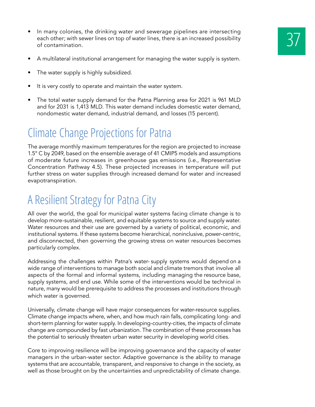- A multilateral institutional arrangement for managing the water supply is system.
- The water supply is highly subsidized.
- It is very costly to operate and maintain the water system.
- The total water supply demand for the Patna Planning area for 2021 is 961 MLD and for 2031 is 1,413 MLD. This water demand includes domestic water demand, nondomestic water demand, industrial demand, and losses (15 percent).

### Climate Change Projections for Patna

The average monthly maximum temperatures for the region are projected to increase 1.5° C by 2049, based on the ensemble average of 41 CMIP5 models and assumptions of moderate future increases in greenhouse gas emissions (i.e., Representative Concentration Pathway 4.5). These projected increases in temperature will put further stress on water supplies through increased demand for water and increased evapotranspiration.

### A Resilient Strategy for Patna City

All over the world, the goal for municipal water systems facing climate change is to develop more-sustainable, resilient, and equitable systems to source and supply water. Water resources and their use are governed by a variety of political, economic, and institutional systems. If these systems become hierarchical, noninclusive, power-centric, and disconnected, then governing the growing stress on water resources becomes particularly complex.

Addressing the challenges within Patna's water- supply systems would depend on a wide range of interventions to manage both social and climate tremors that involve all aspects of the formal and informal systems, including managing the resource base, supply systems, and end use. While some of the interventions would be technical in nature, many would be prerequisite to address the processes and institutions through which water is governed.

Universally, climate change will have major consequences for water-resource supplies. Climate change impacts where, when, and how much rain falls, complicating long- and short-term planning for water supply. In developing-country-cities, the impacts of climate change are compounded by fast urbanization. The combination of these processes has the potential to seriously threaten urban water security in developing world cities.

Core to improving resilience will be improving governance and the capacity of water managers in the urban-water sector. Adaptive governance is the ability to manage systems that are accountable, transparent, and responsive to change in the society, as well as those brought on by the uncertainties and unpredictability of climate change.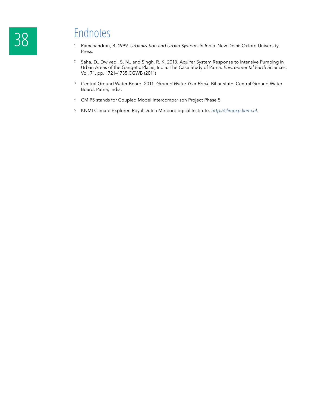- <sup>1</sup> Ramchandran, R. 1999. *Urbanization and Urban Systems in India*. New Delhi: Oxford University Press.
- <sup>2</sup> Saha, D., Dwivedi, S. N., and Singh, R. K. 2013. Aquifer System Response to Intensive Pumping in Urban Areas of the Gangetic Plains, India: The Case Study of Patna. *Environmental Earth Sciences*, Vol. 71, pp. 1721–1735.CGWB (2011)
- <sup>3</sup> Central Ground Water Board. 2011. *Ground Water Year Book*, Bihar state. Central Ground Water Board, Patna, India.
- <sup>4</sup> CMIP5 stands for Coupled Model Intercomparison Project Phase 5.
- <sup>5</sup> KNMI Climate Explorer. Royal Dutch Meteorological Institute. *http://climexp.knmi.nl*.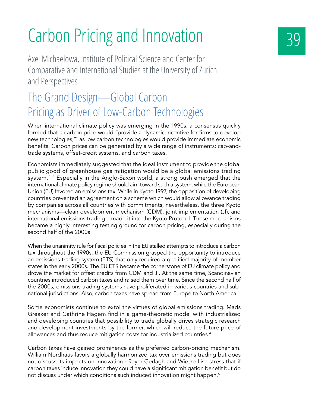# Carbon Pricing and Innovation

Axel Michaelowa, Institute of Political Science and Center for Comparative and International Studies at the University of Zurich and Perspectives

### The Grand Design—Global Carbon Pricing as Driver of Low-Carbon Technologies

When international climate policy was emerging in the 1990s, a consensus quickly formed that a carbon price would "provide a dynamic incentive for firms to develop new technologies,"1 as low carbon technologies would provide immediate economic benefits. Carbon prices can be generated by a wide range of instruments: cap-andtrade systems, offset-credit systems, and carbon taxes.

Economists immediately suggested that the ideal instrument to provide the global public good of greenhouse gas mitigation would be a global emissions trading system.<sup>2 3</sup> Especially in the Anglo-Saxon world, a strong push emerged that the international climate policy regime should aim toward such a system, while the European Union (EU) favored an emissions tax. While in Kyoto 1997, the opposition of developing countries prevented an agreement on a scheme which would allow allowance trading by companies across all countries with commitments, nevertheless, the three Kyoto mechanisms—clean development mechanism (CDM), joint implementation (JI), and international emissions trading—made it into the Kyoto Protocol. These mechanisms became a highly interesting testing ground for carbon pricing, especially during the second half of the 2000s.

When the unanimity rule for fiscal policies in the EU stalled attempts to introduce a carbon tax throughout the 1990s, the EU Commission grasped the opportunity to introduce an emissions trading system (ETS) that only required a qualified majority of member states in the early 2000s. The EU ETS became the cornerstone of EU climate policy and drove the market for offset credits from CDM and JI. At the same time, Scandinavian countries introduced carbon taxes and raised them over time. Since the second half of the 2000s, emissions trading systems have proliferated in various countries and subnational jurisdictions. Also, carbon taxes have spread from Europe to North America.

Some economists continue to extol the virtues of global emissions trading. Mads Greaker and Cathrine Hagem find in a game-theoretic model with industrialized and developing countries that possibility to trade globally drives strategic research and development investments by the former, which will reduce the future price of allowances and thus reduce mitigation costs for industrialized countries.<sup>4</sup>

Carbon taxes have gained prominence as the preferred carbon-pricing mechanism. William Nordhaus favors a globally harmonized tax over emissions trading but does not discuss its impacts on innovation.<sup>5</sup> Reyer Gerlagh and Wietze Lise stress that if carbon taxes induce innovation they could have a significant mitigation benefit but do not discuss under which conditions such induced innovation might happen.<sup>6</sup>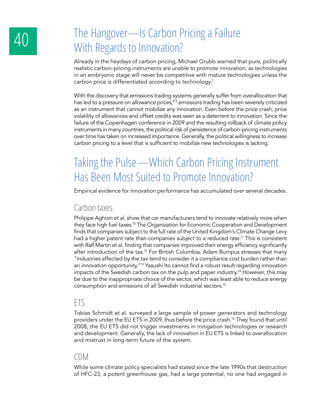### 40 The Hangover—Is Carbon Pricing a Failure With Regards to Innovation?

Already in the heydays of carbon pricing, Michael Grubb warned that pure, politically realistic carbon-pricing instruments are unable to promote innovation, as technologies in an embryonic stage will never be competitive with mature technologies unless the carbon price is differentiated according to technology.<sup>7</sup>

With the discovery that emissions trading systems generally suffer from overallocation that has led to a pressure on allowance prices,<sup>89</sup> emissions trading has been severely criticized as an instrument that cannot mobilize any innovation. Even before the price crash, price volatility of allowances and offset credits was seen as a deterrent to innovation. Since the failure of the Copenhagen conference in 2009 and the resulting rollback of climate policy instruments in many countries, the political risk of persistence of carbon-pricing instruments over time has taken on increased importance. Generally, the political willingness to increase carbon pricing to a level that is sufficient to mobilize new technologies is lacking.

### Taking the Pulse—Which Carbon Pricing Instrument Has Been Most Suited to Promote Innovation?

Empirical evidence for innovation performance has accumulated over several decades.

#### Carbon taxes

Philippe Aghion et al. show that car manufacturers tend to innovate relatively more when they face high fuel taxes.10 The Organization for Economic Cooperation and Development finds that companies subject to the full rate of the United Kingdom's Climate Change Levy had a higher patent rate than companies subject to a reduced rate.<sup>11</sup> This is consistent with Ralf Martin et al. finding that companies improved their energy efficiency significantly after introduction of the tax.<sup>12</sup> For British Columbia, Adam Bumpus stresses that many "industries affected by the tax tend to consider it a compliance cost burden rather than an innovation opportunity."13 Yasushi Ito cannot find a robust result regarding innovation impacts of the Swedish carbon tax on the pulp and paper industry.<sup>14</sup> However, this may be due to the inappropriate choice of the sector, which was least able to reduce energy consumption and emissions of all Swedish industrial sectors.15

#### ETS

Tobias Schmidt et al. surveyed a large sample of power generators and technology providers under the EU ETS in 2009, thus before the price crash.16 They found that until 2008, the EU ETS did not trigger investments in mitigation technologies or research and development. Generally, the lack of innovation in EU ETS is linked to overallocation and mistrust in long-term future of the system.

#### CDM

While some climate policy specialists had stated since the late 1990s that destruction of HFC-23, a potent greenhouse gas, had a large potential, no one had engaged in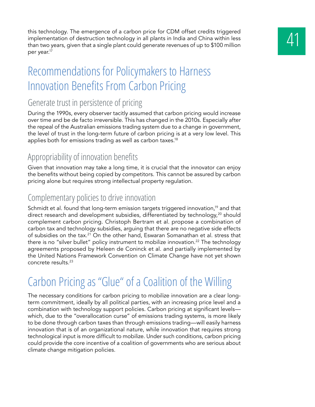this technology. The emergence of a carbon price for CDM offset credits triggered<br>implementation of destruction technology in all plants in India and China within less<br>than two years, given that a single plant could genera implementation of destruction technology in all plants in India and China within less than two years, given that a single plant could generate revenues of up to \$100 million per year.17

### Recommendations for Policymakers to Harness Innovation Benefits From Carbon Pricing

#### Generate trust in persistence of pricing

During the 1990s, every observer tacitly assumed that carbon pricing would increase over time and be de facto irreversible. This has changed in the 2010s. Especially after the repeal of the Australian emissions trading system due to a change in government, the level of trust in the long-term future of carbon pricing is at a very low level. This applies both for emissions trading as well as carbon taxes.<sup>18</sup>

#### Appropriability of innovation benefits

Given that innovation may take a long time, it is crucial that the innovator can enjoy the benefits without being copied by competitors. This cannot be assured by carbon pricing alone but requires strong intellectual property regulation.

#### Complementary policies to drive innovation

Schmidt et al. found that long-term emission targets triggered innovation,<sup>19</sup> and that direct research and development subsidies, differentiated by technology,<sup>20</sup> should complement carbon pricing. Christoph Bertram et al. propose a combination of carbon tax and technology subsidies, arguing that there are no negative side effects of subsidies on the tax.<sup>21</sup> On the other hand, Eswaran Somanathan et al. stress that there is no "silver bullet" policy instrument to mobilize innovation.<sup>22</sup> The technology agreements proposed by Heleen de Coninck et al. and partially implemented by the United Nations Framework Convention on Climate Change have not yet shown concrete results.23

### Carbon Pricing as "Glue" of a Coalition of the Willing

The necessary conditions for carbon pricing to mobilize innovation are a clear longterm commitment, ideally by all political parties, with an increasing price level and a combination with technology support policies. Carbon pricing at significant levels which, due to the "overallocation curse" of emissions trading systems, is more likely to be done through carbon taxes than through emissions trading—will easily harness innovation that is of an organizational nature, while innovation that requires strong technological input is more difficult to mobilize. Under such conditions, carbon pricing could provide the core incentive of a coalition of governments who are serious about climate change mitigation policies.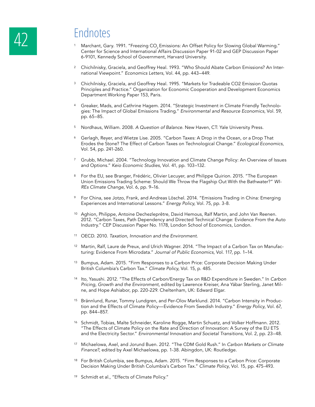- Marchant, Gary. 1991. "Freezing CO<sub>2</sub> Emissions: An Offset Policy for Slowing Global Warming." Center for Science and International Affairs Discussion Paper 91-02 and GEP Discussion Paper 6-9101, Kennedy School of Government, Harvard University.
- <sup>2</sup> Chichilnisky, Graciela, and Geoffrey Heal. 1993. "Who Should Abate Carbon Emissions? An International Viewpoint." *Economics Letters*, Vol. 44, pp. 443–449*.*
- <sup>3</sup> Chichilnisky, Graciela, and Geoffrey Heal. 1995. "Markets for Tradeable CO2 Emission Quotas Principles and Practice." Organization for Economic Cooperation and Development Economics Department Working Paper 153, Paris.
- <sup>4</sup> Greaker, Mads, and Cathrine Hagem. 2014. "Strategic Investment in Climate Friendly Technologies: The Impact of Global Emissions Trading." *Environmental and Resource Economics*, Vol. 59, pp. 65–85.
- <sup>5</sup> Nordhaus, William. 2008. A Question of Balance. New Haven, CT: Yale University Press.
- <sup>6</sup> Gerlagh, Reyer, and Wietze Lise. 2005. "Carbon Taxes: A Drop in the Ocean, or a Drop That Erodes the Stone? The Effect of Carbon Taxes on Technological Change." *Ecological Economics*, Vol. 54, pp. 241-260.
- <sup>7</sup> Grubb, Michael. 2004. "Technology Innovation and Climate Change Policy: An Overview of Issues and Options." *Keio Economic Studies*, Vol. 41, pp. 103–132.
- 8 For the EU, see Branger, Frédéric, Olivier Lecuyer, and Philippe Quirion. 2015. "The European Union Emissions Trading Scheme: Should We Throw the Flagship Out With the Bathwater?" *WI-REs Climate Change*, Vol. 6, pp. 9–16.
- <sup>9</sup> For China, see Jotzo, Frank, and Andreas Löschel. 2014. "Emissions Trading in China: Emerging Experiences and International Lessons." *Energy Policy*, Vol. 75, pp. 3-8.
- <sup>10</sup> Aghion, Philippe, Antoine Dechezleprêtre, David Hemous, Ralf Martin, and John Van Reenen. 2012. "Carbon Taxes, Path Dependency and Directed Technical Change: Evidence From the Auto Industry." CEP Discussion Paper No. 1178, London School of Economics, London.
- <sup>11</sup> OECD. 2010. *Taxation, Innovation and the Environment.*
- <sup>12</sup> Martin, Ralf, Laure de Preux, and Ulrich Wagner. 2014. "The Impact of a Carbon Tax on Manufacturing: Evidence From Microdata." *Journal of Public Economics*, Vol. 117, pp. 1–14.
- <sup>13</sup> Bumpus, Adam. 2015. "Firm Responses to a Carbon Price: Corporate Decision Making Under British Columbia's Carbon Tax." *Climate Policy*, Vol. 15, p. 485.
- <sup>14</sup> Ito, Yasushi. 2012. "The Effects of Carbon/Energy Tax on R&D Expenditure in Sweden." In *Carbon Pricing, Growth and the Environment*, edited by Lawrence Kreiser, Ana Yábar Sterling, Janet Milne, and Hope Ashiabor, pp. 220-229. Cheltenham, UK: Edward Elgar.
- <sup>15</sup> Brännlund, Runar, Tommy Lundgren, and Per-Olov Marklund. 2014. "Carbon Intensity in Production and the Effects of Climate Policy—Evidence From Swedish Industry." *Energy Policy*, Vol. 67, pp. 844–857.
- <sup>16</sup> Schmidt, Tobias, Malte Schneider, Karoline Rogge, Martin Schuetz, and Volker Hoffmann. 2012. "The Effects of Climate Policy on the Rate and Direction of Innovation: A Survey of the EU ETS and the Electricity Sector." *Environmental Innovation and Societal Transitions*, Vol. 2, pp. 23–48.
- <sup>17</sup> Michaelowa, Axel, and Jorund Buen. 2012. "The CDM Gold Rush." In *Carbon Markets or Climate Finance?*, edited by Axel Michaelowa, pp. 1-38. Abingdon, UK: Routledge.
- <sup>18</sup> For British Columbia, see Bumpus, Adam. 2015. "Firm Responses to a Carbon Price: Corporate Decision Making Under British Columbia's Carbon Tax." *Climate Policy*, Vol. 15, pp. 475-493.
- <sup>19</sup> Schmidt et al., "Effects of Climate Policy."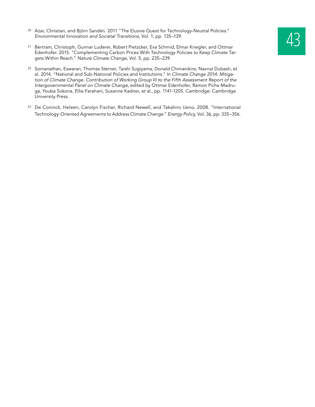- <sup>20</sup> Azar, Christian, and Björn Sandén. 2011 "The Elusive Quest for Technology-Neutral Policies."<br> *Environmental Innovation and Societal Transitions,* Vol. 1, pp. 135–139.<br>
<sup>21</sup> Bertram, Christoph, Gunnar Luderer, Robert *Environmental Innovation and Societal Transitions*, Vol. 1, pp. 135–139.
- Edenhofer. 2015. "Complementing Carbon Prices With Technology Policies to Keep Climate Targets Within Reach." *Nature Climate Change*, Vol. 5, pp. 235–239*.*
- <sup>22</sup> Somanathan, Eswaran, Thomas Sterner, Taishi Sugiyama, Donald Chimanikire, Navroz Dubash, et al. 2014. "National and Sub-National Policies and Institutions." In *Climate Change 2014: Mitigation of Climate Change. Contribution of Working Group III to the Fifth Assessment Report of the Intergovernmental Panel on Climate Change*, edited by Ottmar Edenhofer, Ramon Pichs-Madruga, Youba Sokona, Ellie Farahani, Susanne Kadner, et al., pp. 1141-1205. Cambridge: Cambridge University Press.
- <sup>23</sup> De Coninck, Heleen, Carolyn Fischer, Richard Newell, and Takahiro Ueno. 2008. "International Technology-Oriented Agreements to Address Climate Change." *Energy Policy*, Vol. 36, pp. 335–356.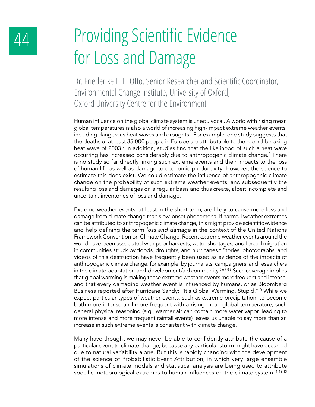# 44 Providing Scientific Evidence for Loss and Damage

Dr. Friederike E. L. Otto, Senior Researcher and Scientific Coordinator, Environmental Change Institute, University of Oxford, Oxford University Centre for the Environment

Human influence on the global climate system is unequivocal. A world with rising mean global temperatures is also a world of increasing high-impact extreme weather events, including dangerous heat waves and droughts.1 For example, one study suggests that the deaths of at least 35,000 people in Europe are attributable to the record-breaking heat wave of 2003.<sup>2</sup> In addition, studies find that the likelihood of such a heat wave occurring has increased considerably due to anthropogenic climate change.<sup>3</sup> There is no study so far directly linking such extreme events and their impacts to the loss of human life as well as damage to economic productivity. However, the science to estimate this does exist. We could estimate the influence of anthropogenic climate change on the probability of such extreme weather events, and subsequently the resulting loss and damages on a regular basis and thus create, albeit incomplete and uncertain, inventories of loss and damage.

Extreme weather events, at least in the short term, are likely to cause more loss and damage from climate change than slow-onset phenomena. If harmful weather extremes can be attributed to anthropogenic climate change, this might provide scientific evidence and help defining the term *loss and damage* in the context of the United Nations Framework Convention on Climate Change. Recent extreme weather events around the world have been associated with poor harvests, water shortages, and forced migration in communities struck by floods, droughts, and hurricanes.<sup>4</sup> Stories, photographs, and videos of this destruction have frequently been used as evidence of the impacts of anthropogenic climate change, for example, by journalists, campaigners, and researchers in the climate-adaptation-and-development/aid community.<sup>56789</sup> Such coverage implies that global warming is making these extreme weather events more frequent and intense, and that every damaging weather event is influenced by humans, or as Bloomberg Business reported after Hurricane Sandy: "It's Global Warming, Stupid."10 While we expect particular types of weather events, such as extreme precipitation, to become both more intense and more frequent with a rising mean global temperature, such general physical reasoning (e.g., warmer air can contain more water vapor, leading to more intense and more frequent rainfall events) leaves us unable to say more than an increase in such extreme events is consistent with climate change.

Many have thought we may never be able to confidently attribute the cause of a particular event to climate change, because any particular storm might have occurred due to natural variability alone. But this is rapidly changing with the development of the science of Probabilistic Event Attribution, in which very large ensemble simulations of climate models and statistical analysis are being used to attribute specific meteorological extremes to human influences on the climate system.<sup>11 12 13</sup>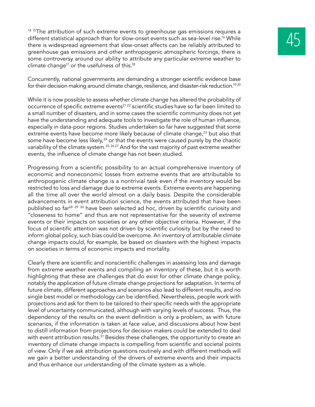14 15The attribution of such extreme events to greenhouse gas emissions requires a different statistical approach than for slow-onset events such as sea-level rise.<sup>16</sup> While there is widespread agreement that slow-onset affects can be reliably attributed to greenhouse gas emissions and other anthropogenic atmospheric forcings, there is some controversy around our ability to attribute any particular extreme weather to climate change<sup>17</sup> or the usefulness of this.<sup>18</sup>

Concurrently, national governments are demanding a stronger scientific evidence base for their decision making around climate change, resilience, and disaster-risk reduction.<sup>1920</sup>

While it is now possible to assess whether climate change has altered the probability of occurrence of specific extreme events<sup>21 22</sup> scientific studies have so far been limited to a small number of disasters, and in some cases the scientific community does not yet have the understanding and adequate tools to investigate the role of human influence, especially in data-poor regions. Studies undertaken so far have suggested that some extreme events have become more likely because of climate change,<sup>23</sup> but also that some have become less likely, $24$  or that the events were caused purely by the chaotic variability of the climate system.<sup>25</sup> 26.27 And for the vast majority of past extreme weather events, the influence of climate change has not been studied.

Progressing from a scientific possibility to an actual comprehensive inventory of economic and noneconomic losses from extreme events that are attributable to anthropogenic climate change is a nontrivial task even if the inventory would be restricted to loss and damage due to extreme events. Extreme events are happening all the time all over the world almost on a daily basis. Despite the considerable advancements in event attribution science, the events attributed that have been published so far<sup>28 29 30</sup> have been selected ad hoc, driven by scientific curiosity and "closeness to home" and thus are not representative for the severity of extreme events or their impacts on societies or any other objective criteria. However, if the focus of scientific attention was not driven by scientific curiosity but by the need to inform global policy, such bias could be overcome. An inventory of attributable climate change impacts could, for example, be based on disasters with the highest impacts on societies in terms of economic impacts and mortality.

Clearly there are scientific and nonscientific challenges in assessing loss and damage from extreme weather events and compiling an inventory of these, but it is worth highlighting that these are challenges that do exist for other climate change policy, notably the application of future climate change projections for adaptation. In terms of future climate, different approaches and scenarios also lead to different results, and no single best model or methodology can be identified. Nevertheless, people work with projections and ask for them to be tailored to their specific needs with the appropriate level of uncertainty communicated, although with varying levels of success. Thus, the dependency of the results on the event definition is only a problem, as with future scenarios, if the information is taken at face value, and discussions about how best to distill information from projections for decision makers could be extended to deal with event attribution results.<sup>31</sup> Besides these challenges, the opportunity to create an inventory of climate change impacts is compelling from scientific and societal points of view. Only if we ask attribution questions routinely and with different methods will we gain a better understanding of the drivers of extreme events and their impacts and thus enhance our understanding of the climate system as a whole.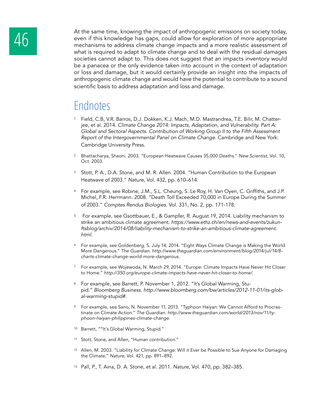

At the same time, knowing the impact of anthropogenic emissions on society today,<br>
even if this knowledge has gaps, could allow for exploration of more appropriate<br>
mechanisms to address climate change impacts and a more r even if this knowledge has gaps, could allow for exploration of more appropriate what is required to adapt to climate change and to deal with the residual damages societies cannot adapt to. This does not suggest that an impacts inventory would be a panacea or the only evidence taken into account in the context of adaptation or loss and damage, but it would certainly provide an insight into the impacts of anthropogenic climate change and would have the potential to contribute to a sound scientific basis to address adaptation and loss and damage.

- <sup>1</sup> Field, C.B, V.R. Barros, D.J. Dokken, K.J. Mach, M.D. Mastrandrea, T.E. Bilir, M. Chatterjee, et al. 2014. *Climate Change 2014: Impacts, Adaptation, and Vulnerability. Part A: Global and Sectoral Aspects. Contribution of Working Group II to the Fifth Assessment Report of the Intergovernmental Panel on Climate Change.* Cambridge and New York: Cambridge University Press.
- <sup>2</sup> Bhattacharya, Shaoni. 2003. "European Heatwave Causes 35,000 Deaths." *New Scientist*, Vol. 10, Oct. 2003.
- <sup>3</sup> Stott, P. A., D.A. Stone, and M. R. Allen. 2004. "Human Contribution to the European Heatwave of 2003." *Nature*, Vol. 432, pp. 610–614.
- <sup>4</sup> For example, see Robine, J.M., S.L. Cheung, S. Le Roy, H. Van Oyen, C. Griffiths, and J.P. Michel, F.R. Herrmann. 2008. "Death Toll Exceeded 70,000 in Europe During the Summer of 2003." *Comptes Rendus Biologies*. Vol. 331, No. 2, pp. 171-178.
- <sup>5</sup> For example, see Gsottbauer, E., & Gampfer, R. August 19, 2014. Liability mechanism to strike an ambitious climate agreement. *https://www.ethz.ch/en/news-and-events/zukun*ftsblog/archiv/2014/08/liability-mechanism-to-strike-an-ambitious-climate-agreement. *html*.
- <sup>6</sup> For example, see Goldenberg, S. July 14, 2014. "Eight Ways Climate Change is Making the World More Dangerous." *The Guardian*. http://www.theguardian.com/environment/blog/2014/jul/14/8 *charts-climate-change-world-more-dangerous*.
- <sup>7</sup> For example, see Wojewoda, N. March 29, 2014. "Europe: Climate Impacts Have Never Hit Closer to Home." http://350.org/europe-climate-impacts-have-never-hit-closer-to-home/.
- 8 For example, see Barrett, P. November 1, 2012. "It's Global Warming, Stupid." *Bloomberg Business*. *http://www.bloomberg.com/bw/articles/2012-11-01/its-global-warming-stupid#.*
- <sup>9</sup> For example, see Sano, N. November 11, 2013. "Typhoon Haiyan: We Cannot Afford to Procrastinate on Climate Action." *The Guardian*. http://www.theguardian.com/world/2013/nov/11/ty*phoon-haiyan-philippines-climate-change*.
- <sup>10</sup> Barrett, ""It's Global Warming, Stupid."
- <sup>11</sup> Stott, Stone, and Allen, "Human contribution."
- <sup>12</sup> Allen, M. 2003. "Liability for Climate Change: Will it Ever be Possible to Sue Anyone for Damaging the Climate." *Nature*, Vol. 421, pp. 891–892.
- <sup>13</sup> Pall, P., T. Aina, D. A. Stone, et al. 2011. *Nature*, Vol. 470, pp. 382–385.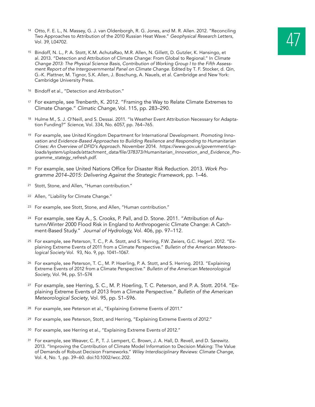- 14 Otto, F. E. L., N. Massey, G. J. van Oldenborgh, R. G. Jones, and M. R. Allen. 2012. "Reconciling<br>Two Approaches to Attribution of the 2010 Russian Heat Wave." Geophysical Research Letters,<br>Vol. 39, L04702. Two Approaches to Attribution of the 2010 Russian Heat Wave." *Geophysical Research Letters,*  Vol. 39, L04702.
- <sup>15</sup> Bindoff, N. L., P. A. Stott, K.M. AchutaRao, M.R. Allen, N. Gillett, D. Gutzler, K. Hansingo, et al. 2013. "Detection and Attribution of Climate Change: From Global to Regional." In *Climate*  Change 2013: The Physical Science Basis, Contribution of Working Group I to the Fifth Assess*ment Report of the Intergovernmental Panel on Climate Change. Edited by T. F. Stocker, d. Qin,* G.-K. Plattner, M. Tignor, S.K. Allen, J. Boschung, A. Nauels, et al. Cambridge and New York: Cambridge University Press.
- <sup>16</sup> Bindoff et al., "Detection and Attribution."
- <sup>17</sup> For example, see Trenberth, K. 2012. "Framing the Way to Relate Climate Extremes to Climate Change." *Climatic Change*, Vol. 115, pp. 283–290.
- 18 Hulme M., S. J. O'Neill, and S. Dessai. 2011. "Is Weather Event Attribution Necessary for Adaptation Funding?" *Science*, Vol. 334, No. 6057, pp. 764–765.
- <sup>19</sup> For example, see United Kingdom Department for International Development. *Promoting Innovation and Evidence-Based Approaches to Building Resilience and Responding to Humanitarian Crises: An Overview of DFID's Approach*. November 2014. *https://www.gov.uk/government/up*loads/system/uploads/attachment\_data/file/378373/Humanitarian\_Innovation\_and\_Evidence\_Programme\_stategy\_refresh.pdf.
- <sup>20</sup> For example, see United Nations Office for Disaster Risk Reduction. 2013. *Work Programme 2014–2015: Delivering Against the Strategic Framework*, pp. 1–46.
- <sup>21</sup> Stott, Stone, and Allen, "Human contribution."
- <sup>22</sup> Allen, "Liability for Climate Change."
- <sup>23</sup> For example, see Stott, Stone, and Allen, "Human contribution."
- <sup>24</sup> For example, see Kay A., S. Crooks, P. Pall, and D. Stone. 2011. "Attribution of Autumn/Winter 2000 Flood Risk in England to Anthropogenic Climate Change: A Catchment-Based Study." *Journal of Hydrology,* Vol. 406, pp. 97–112.
- <sup>25</sup> For example, see Peterson, T. C., P. A. Stott, and S. Herring, F.W. Zwiers, G.C. Hegerl. 2012. "Explaining Extreme Events of 2011 from a Climate Perspective." *Bulletin of the American Meteorological Society* Vol.93, No. 9, pp. 1041–1067.
- <sup>26</sup> For example, see Peterson, T. C., M. P. Hoerling, P. A. Stott, and S. Herring. 2013. "Explaining Extreme Events of 2012 from a Climate Perspective." *Bulletin of the American Meteorological Society*, Vol. 94, pp. S1–S74
- <sup>27</sup> For example, see Herring, S. C., M. P. Hoerling, T. C. Peterson, and P. A. Stott. 2014. "Explaining Extreme Events of 2013 from a Climate Perspective." *Bulletin of the American Meteorological Society*, Vol. 95, pp. S1–S96.
- <sup>28</sup> For example, see Peterson et al., "Explaining Extreme Events of 2011."
- <sup>29</sup> For example, see Peterson, Stott, and Herring, "Explaining Extreme Events of 2012."
- <sup>30</sup> For example, see Herring et al., "Explaining Extreme Events of 2012."
- <sup>31</sup> For example, see Weaver, C. P., T. J. Lempert, C. Brown, J. A. Hall, D. Revell, and D. Sarewitz. 2013. "Improving the Contribution of Climate Model Information to Decision Making: The Value of Demands of Robust Decision Frameworks." *Wiley Interdisciplinary Reviews: Climate Change*, Vol. 4, No. 1, pp. 39–60. doi:10.1002/wcc.202.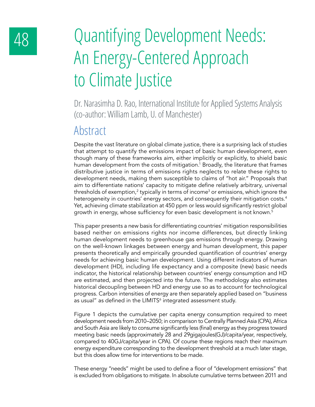# 48 Quantifying Development Needs: An Energy-Centered Approach to Climate Justice

Dr. Narasimha D. Rao, International Institute for Applied Systems Analysis (co-author: William Lamb, U. of Manchester)

#### Abstract

Despite the vast literature on global climate justice, there is a surprising lack of studies that attempt to quantify the emissions impact of basic human development, even though many of these frameworks aim, either implicitly or explicitly, to shield basic human development from the costs of mitigation.<sup>1</sup> Broadly, the literature that frames distributive justice in terms of emissions rights neglects to relate these rights to development needs, making them susceptible to claims of "hot air." Proposals that aim to differentiate nations' capacity to mitigate define relatively arbitrary, universal thresholds of exemption, $^2$  typically in terms of income $^3$  or emissions, which ignore the heterogeneity in countries' energy sectors, and consequently their mitigation costs.<sup>4</sup> Yet, achieving climate stabilization at 450 ppm or less would significantly restrict global growth in energy, whose sufficiency for even basic development is not known.<sup>5</sup>

This paper presents a new basis for differentiating countries' mitigation responsibilities based neither on emissions rights nor income differences, but directly linking human development needs to greenhouse gas emissions through energy. Drawing on the well-known linkages between energy and human development, this paper presents theoretically and empirically grounded quantification of countries' energy needs for achieving basic human development. Using different indicators of human development (HD), including life expectancy and a composite (new) basic needs indicator, the historical relationship between countries' energy consumption and HD are estimated, and then projected into the future. The methodology also estimates historical decoupling between HD and energy use so as to account for technological progress. Carbon intensities of energy are then separately applied based on "business as usual" as defined in the LIMITS<sup>6</sup> integrated assessment study.

Figure 1 depicts the cumulative per capita energy consumption required to meet development needs from 2010–2050; in comparison to Centrally Planned Asia (CPA), Africa and South Asia are likely to consume significantly less (final) energy as they progress toward meeting basic needs (approximately 28 and 29gigajoules(GJ)/capita/year, respectively, compared to 40GJ/capita/year in CPA). Of course these regions reach their maximum energy expenditure corresponding to the development threshold at a much later stage, but this does allow time for interventions to be made.

These energy "needs" might be used to define a floor of "development emissions" that is excluded from obligations to mitigate. In absolute cumulative terms between 2011 and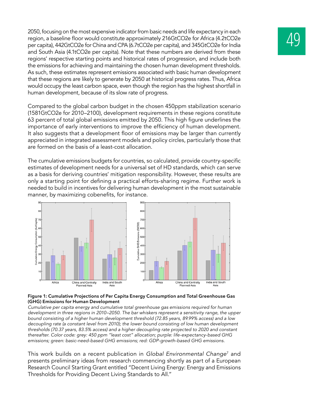2050, focusing on the most expensive indicator from basic needs and life expectancy in each<br>region, a baseline floor would constitute approximately 216GtCO2e for Africa (4.2tCO2e<br>per capita), 442GtCO2e for China and CPA (6 region, a baseline floor would constitute approximately 216GtCO2e for Africa (4.2tCO2e and South Asia (4.1tCO2e per capita). Note that these numbers are derived from these regions' respective starting points and historical rates of progression, and include both the emissions for achieving and maintaining the chosen human development thresholds. As such, these estimates represent emissions associated with basic human development that these regions are likely to generate by 2050 at historical progress rates. Thus, Africa would occupy the least carbon space, even though the region has the highest shortfall in human development, because of its slow rate of progress.

Compared to the global carbon budget in the chosen 450ppm stabilization scenario (1581GtCO2e for 2010–2100), development requirements in these regions constitute 63 percent of total global emissions emitted by 2050. This high figure underlines the importance of early interventions to improve the efficiency of human development. It also suggests that a development floor of emissions may be larger than currently appreciated in integrated assessment models and policy circles, particularly those that are formed on the basis of a least-cost allocation.

The cumulative emissions budgets for countries, so calculated, provide country-specific estimates of development needs for a universal set of HD standards, which can serve as a basis for deriving countries' mitigation responsibility. However, these results are only a starting point for defining a practical efforts-sharing regime. Further work is needed to build in incentives for delivering human development in the most sustainable manner, by maximizing cobenefits, for instance.



#### **Figure 1: Cumulative Projections of Per Capita Energy Consumption and Total Greenhouse Gas (GHG) Emissions for Human Development**

*Cumulative per capita energy and cumulative total greenhouse gas emissions required for human development in three regions in 2010–2050. The bar whiskers represent a sensitivity range, the upper*  bound consisting of a higher human development threshold (72.85 years, 89.99% access) and a low *decoupling rate (a constant level from 2010); the lower bound consisting of low human development*  thresholds (70.37 years, 83.5% access) and a higher decoupling rate projected to 2020 and constant *thereafter. Color code: grey: 450 ppm "least cost" allocation; purple: life-expectancy-based GHG emissions; green: basic-need-based GHG emissions; red: GDP-growth-based GHG emissions.*

This work builds on a recent publication in *Global Environmental Change*<sup>7</sup> and presents preliminary ideas from research commencing shortly as part of a European Research Council Starting Grant entitled "Decent Living Energy: Energy and Emissions Thresholds for Providing Decent Living Standards to All."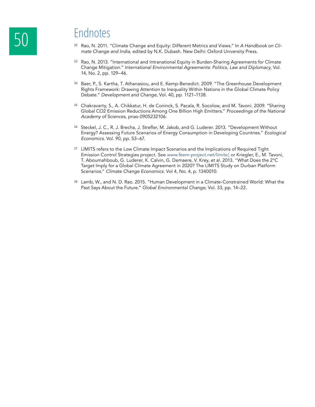- <sup>32</sup> Rao, N. 2011. "Climate Change and Equity: Different Metrics and Views." In *A Handbook on Climate Change and India*, edited by N.K. Dubash. New Delhi: Oxford University Press.
- 33 Rao, N. 2013. "International and Intranational Equity in Burden-Sharing Agreements for Climate Change Mitigation." *International Environmental Agreements: Politics, Law and Diplomacy*, Vol. 14, No. 2, pp. 129–46.
- <sup>34</sup> Baer, P., S. Kartha, T. Athanasiou, and E. Kemp-Benedict. 2009. "The Greenhouse Development Rights Framework: Drawing Attention to Inequality Within Nations in the Global Climate Policy Debate." *Development and Change*, Vol. 40, pp. 1121–1138.
- <sup>35</sup> Chakravarty, S., A. Chikkatur, H. de Coninck, S. Pacala, R. Socolow, and M. Tavoni. 2009. "Sharing Global CO2 Emission Reductions Among One Billion High Emitters." *Proceedings of the National Academy of Sciences*, pnas-0905232106.
- <sup>36</sup> Steckel, J. C., R. J. Brecha, J. Strefler, M. Jakob, and G. Luderer. 2013. "Development Without Energy? Assessing Future Scenarios of Energy Consumption in Developing Countries." *Ecological Economics.* Vol. 90, pp. 53–67.
- <sup>37</sup> LIMITS refers to the Low Climate Impact Scenarios and the Implications of Required Tight Emission Control Strategies project. See www.feem-project.net/limits/, or Kriegler, E., M. Tavoni, T. Aboumahboub, G. Luderer, K. Calvin, G. Demaere, V. Krey, et al. 2013. "What Does the 2°C Target Imply for a Global Climate Agreement in 2020? The LIMITS Study on Durban Platform Scenarios." *Climate Change Economics.* Vol 4, No. 4, p. 1340010.
- <sup>38</sup> Lamb, W., and N. D. Rao. 2015. "Human Development in a Climate-Constrained World: What the Past Says About the Future." *Global Environmental Change*, Vol. 33, pp. 14–22.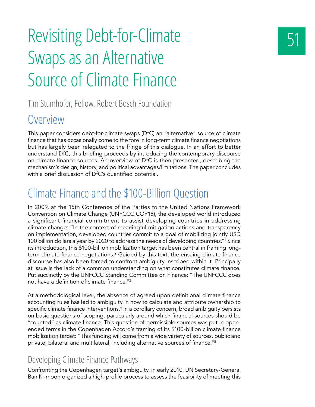# Revisiting Debt-for-Climate Swaps as an Alternative Source of Climate Finance

Tim Stumhofer, Fellow, Robert Bosch Foundation

#### Overview

This paper considers debt-for-climate swaps (DfC) an "alternative" source of climate finance that has occasionally come to the fore in long-term climate finance negotiations but has largely been relegated to the fringe of this dialogue. In an effort to better understand DfC, this briefing proceeds by introducing the contemporary discourse on climate finance sources. An overview of DfC is then presented, describing the mechanism's design, history, and political advantages/limitations. The paper concludes with a brief discussion of DfC's quantified potential.

### Climate Finance and the \$100-Billion Question

In 2009, at the 15th Conference of the Parties to the United Nations Framework Convention on Climate Change (UNFCCC COP15), the developed world introduced a significant financial commitment to assist developing countries in addressing climate change: "In the context of meaningful mitigation actions and transparency on implementation, developed countries commit to a goal of mobilizing jointly USD 100 billion dollars a year by 2020 to address the needs of developing countries."1 Since its introduction, this \$100-billion mobilization target has been central in framing longterm climate finance negotiations. $^2$  Guided by this text, the ensuing climate finance discourse has also been forced to confront ambiguity inscribed within it. Principally at issue is the lack of a common understanding on what constitutes climate finance. Put succinctly by the UNFCCC Standing Committee on Finance: "The UNFCCC does not have a definition of climate finance."<sup>3</sup>

At a methodological level, the absence of agreed upon definitional climate finance accounting rules has led to ambiguity in how to calculate and attribute ownership to specific climate finance interventions.4 In a corollary concern, broad ambiguity persists on basic questions of scoping, particularly around which financial sources should be "counted" as climate finance. This question of permissible sources was put in openended terms in the Copenhagen Accord's framing of its \$100-billion climate finance mobilization target: "This funding will come from a wide variety of sources, public and private, bilateral and multilateral, including alternative sources of finance."<sup>5</sup>

#### Developing Climate Finance Pathways

Confronting the Copenhagen target's ambiguity, in early 2010, UN Secretary-General Ban Ki-moon organized a high-profile process to assess the feasibility of meeting this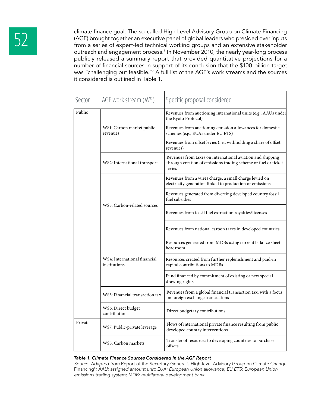climate finance goal. The so-called High Level Advisory Group on Climate Financing<br>(AGF) brought together an executive panel of global leaders who presided over inputs<br>from a series of expert-led technical working groups a (AGF) brought together an executive panel of global leaders who presided over inputs from a series of expert-led technical working groups and an extensive stakeholder outreach and engagement process.<sup>6</sup> In November 2010, the nearly year-long process publicly released a summary report that provided quantitative projections for a number of financial sources in support of its conclusion that the \$100-billion target was "challenging but feasible."7 A full list of the AGF's work streams and the sources it considered is outlined in Table 1.

| Sector  | AGF work stream (WS)                         | Specific proposal considered                                                                                                           |
|---------|----------------------------------------------|----------------------------------------------------------------------------------------------------------------------------------------|
| Public  | WS1: Carbon market public<br>revenues        | Revenues from auctioning international units (e.g., AAUs under<br>the Kyoto Protocol)                                                  |
|         |                                              | Revenues from auctioning emission allowances for domestic<br>schemes (e.g., EUAs under EU ETS)                                         |
|         |                                              | Revenues from offset levies (i.e., withholding a share of offset<br>revenues)                                                          |
|         | WS2: International transport                 | Revenues from taxes on international aviation and shipping<br>through creation of emissions trading scheme or fuel or ticket<br>levies |
|         | WS3: Carbon-related sources                  | Revenues from a wires charge, a small charge levied on<br>electricity generation linked to production or emissions                     |
|         |                                              | Revenues generated from diverting developed country fossil<br>fuel subsidies                                                           |
|         |                                              | Revenues from fossil fuel extraction royalties/licenses                                                                                |
|         |                                              | Revenues from national carbon taxes in developed countries                                                                             |
|         | WS4: International financial<br>institutions | Resources generated from MDBs using current balance sheet<br>headroom                                                                  |
|         |                                              | Resources created from further replenishment and paid-in<br>capital contributions to MDBs                                              |
|         |                                              | Fund financed by commitment of existing or new special<br>drawing rights                                                               |
|         | WS5: Financial transaction tax               | Revenues from a global financial transaction tax, with a focus<br>on foreign exchange transactions                                     |
|         | WS6: Direct budget<br>contributions          | Direct budgetary contributions                                                                                                         |
| Private | WS7: Public-private leverage                 | Flows of international private finance resulting from public<br>developed country interventions                                        |
|         | WS8: Carbon markets                          | Transfer of resources to developing countries to purchase<br>offsets                                                                   |

#### *Table 1. Climate Finance Sources Considered in the AGF Report*

*Source: Adapted from* Report of the Secretary-General's High-level Advisory Group on Climate Change Financing<sup>8</sup>; AAU: assigned amount unit; EUA: European Union allowance; EU ETS: European Union *emissions trading system; MDB: multilateral development bank*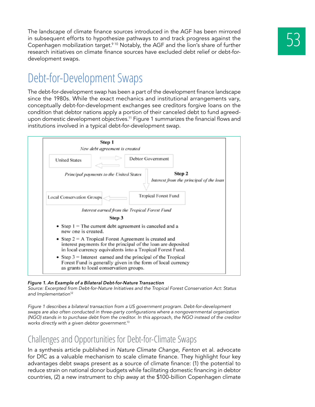The landscape of climate finance sources introduced in the AGF has been mirrored<br>in subsequent efforts to hypothesize pathways to and track progress against the<br>Copenhagen mobilization target.<sup>9 10</sup> Notably, the AGF and th in subsequent efforts to hypothesize pathways to and track progress against the research initiatives on climate finance sources have excluded debt relief or debt-fordevelopment swaps.

#### Debt-for-Development Swaps

The debt-for-development swap has been a part of the development finance landscape since the 1980s. While the exact mechanics and institutional arrangements vary, conceptually debt-for-development exchanges see creditors forgive loans on the condition that debtor nations apply a portion of their canceled debt to fund agreedupon domestic development objectives.11 Figure 1 summarizes the financial flows and institutions involved in a typical debt-for-development swap.



#### *Figure 1. An Example of a Bilateral Debt-for-Nature Transaction*

*Source: Excerpted from Debt-for-Nature Initiatives and the Tropical Forest Conservation Act: Status and Implementation*<sup>12</sup>

*Figure 1 describes a bilateral transaction from a US government program. Debt-for-development*  swaps are also often conducted in three-party configurations where a nongovernmental organization *(NGO) stands in to purchase debt from the creditor. In this approach, the NGO instead of the creditor works directly with a given debtor government.*<sup>13</sup>

#### Challenges and Opportunities for Debt-for-Climate Swaps

In a synthesis article published in *Nature Climate Change, Fenton* et al. advocate for DfC as a valuable mechanism to scale climate finance. They highlight four key advantages debt swaps present as a source of climate finance: (1) the potential to reduce strain on national donor budgets while facilitating domestic financing in debtor countries, (2) a new instrument to chip away at the \$100-billion Copenhagen climate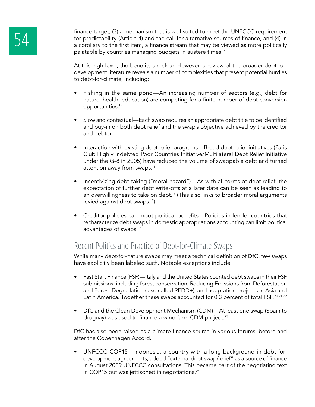finance target, (3) a mechanism that is well suited to meet the UNFCCC requirement<br>for predictability (Article 4) and the call for alternative sources of finance, and (4) in<br>a corollary to the first item, a finance stream for predictability (Article 4) and the call for alternative sources of finance, and (4) in a corollary to the first item, a finance stream that may be viewed as more politically palatable by countries managing budgets in austere times.<sup>14</sup>

> At this high level, the benefits are clear. However, a review of the broader debt-fordevelopment literature reveals a number of complexities that present potential hurdles to debt-for-climate, including:

- Fishing in the same pond—An increasing number of sectors (e.g., debt for nature, health, education) are competing for a finite number of debt conversion opportunities.15
- Slow and contextual—Each swap requires an appropriate debt title to be identified and buy-in on both debt relief and the swap's objective achieved by the creditor and debtor.
- Interaction with existing debt relief programs—Broad debt relief initiatives (Paris Club Highly Indebted Poor Countries Initiative/Multilateral Debt Relief Initiative under the G-8 in 2005) have reduced the volume of swappable debt and turned attention away from swaps.16
- Incentivizing debt taking ("moral hazard")—As with all forms of debt relief, the expectation of further debt write-offs at a later date can be seen as leading to an overwillingness to take on debt.<sup>17</sup> (This also links to broader moral arguments levied against debt swaps.<sup>18</sup>)
- Creditor policies can moot political benefits—Policies in lender countries that recharacterize debt swaps in domestic appropriations accounting can limit political advantages of swaps.19

#### Recent Politics and Practice of Debt-for-Climate Swaps

While many debt-for-nature swaps may meet a technical definition of DfC, few swaps have explicitly been labeled such. Notable exceptions include:

- Fast Start Finance (FSF)—Italy and the United States counted debt swaps in their FSF submissions, including forest conservation, Reducing Emissions from Deforestation and Forest Degradation (also called REDD+), and adaptation projects in Asia and Latin America. Together these swaps accounted for 0.3 percent of total FSF.<sup>202122</sup>
- DfC and the Clean Development Mechanism (CDM)—At least one swap (Spain to Uruguay) was used to finance a wind farm CDM project. $23$

DfC has also been raised as a climate finance source in various forums, before and after the Copenhagen Accord.

• UNFCCC COP15—Indonesia, a country with a long background in debt-fordevelopment agreements, added "external debt swap/relief" as a source of finance in August 2009 UNFCCC consultations. This became part of the negotiating text in COP15 but was jettisoned in negotiations.<sup>24</sup>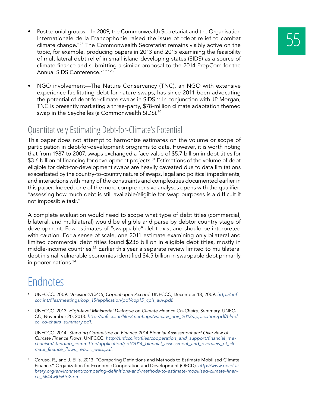- Postcolonial groups—In 2009, the Commonwealth Secretariat and the Organisation<br>Internationale de la Francophonie raised the issue of "debt relief to combat<br>climate change."<sup>25</sup> The Commonwealth Secretariat remains visibl Internationale de la Francophonie raised the issue of "debt relief to combat topic, for example, producing papers in 2013 and 2015 examining the feasibility of multilateral debt relief in small island developing states (SIDS) as a source of climate finance and submitting a similar proposal to the 2014 PrepCom for the Annual SIDS Conference.<sup>26 27</sup> 28
- NGO involvement—The Nature Conservancy (TNC), an NGO with extensive experience facilitating debt-for-nature swaps, has since 2011 been advocating the potential of debt-for-climate swaps in SIDS.<sup>29</sup> In conjunction with JP Morgan, TNC is presently marketing a three-party, \$78-million climate adaptation themed swap in the Seychelles (a Commonwealth SIDS).<sup>30</sup>

#### Quantitatively Estimating Debt-for-Climate's Potential

This paper does not attempt to harmonize estimates on the volume or scope of participation in debt-for-development programs to date. However, it is worth noting that from 1987 to 2007, swaps exchanged a face value of \$5.7 billion in debt titles for \$3.6 billion of financing for development projects.<sup>31</sup> Estimations of the volume of debt eligible for debt-for-development swaps are heavily caveated due to data limitations exacerbated by the country-to-country nature of swaps, legal and political impediments, and interactions with many of the constraints and complexities documented earlier in this paper. Indeed, one of the more comprehensive analyses opens with the qualifier: "assessing how much debt is still available/eligible for swap purposes is a difficult if not impossible task."32

A complete evaluation would need to scope what type of debt titles (commercial, bilateral, and multilateral) would be eligible and parse by debtor country stage of development. Few estimates of "swappable" debt exist and should be interpreted with caution. For a sense of scale, one 2011 estimate examining only bilateral and limited commercial debt titles found \$236 billion in eligible debt titles, mostly in middle-income countries.33 Earlier this year a separate review limited to multilateral debt in small vulnerable economies identified \$4.5 billion in swappable debt primarily in poorer nations.<sup>34</sup>

- <sup>1</sup> UNFCCC. 2009. *Decision2/CP.15, Copenhagen Accord*. UNFCCC, December 18, 2009. *http://unf*ccc.int/files/meetings/cop\_15/application/pdf/cop15\_cph\_auv.pdf*.*
- <sup>2</sup> UNFCCC. 2013. *High-level Ministerial Dialogue on Climate Finance Co-Chairs, Summary*. UNFC-CC, November 20, 2013*.* http://unfccc.int/files/meetings/warsaw\_nov\_2013/application/pdf/hlmdcc\_co-chairs\_summary.pdf*.*
- <sup>3</sup> UNFCCC. 2014. *Standing Committee on Finance 2014 Biennial Assessment and Overview of Climate Finance Flows*. UNFCCC. http://unfccc.int/files/cooperation\_and\_support/financial\_mechanism/standing\_committee/application/pdf/2014\_biennial\_assessment\_and\_overview\_of\_climate\_finance\_flows\_report\_web.pdf*.*
- <sup>4</sup> Caruso, R., and J. Ellis. 2013. "Comparing Definitions and Methods to Estimate Mobilised Climate Finance." Organization for Economic Cooperation and Development (OECD). *http://www.oecd-ili*brary.org/environment/comparing-definitions-and-methods-to-estimate-mobilised-climate-finance\_5k44wj0s6fq2-en*.*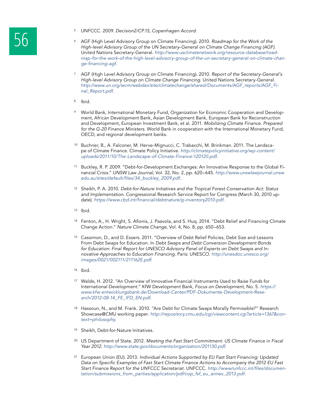- 
- 5 UNFCCC. 2009. *Decision2/CP.15, Copenhagen Accord.*<br>46 AGF (High Level Advisory Group on Climate Financing).<br>High-level Advisory Group of the UN Secretary-General <sup>6</sup> AGF (High Level Advisory Group on Climate Financing). 2010. *Roadmap for the Work of the High-level Advisory Group of the UN Secretary-General on Climate Change Financing (AGF)*. United Nations Secretary-General. *http://www.usclimatenetwork.org/resource-database/roadmap-for-the-work-of-the-high-level-advisory-group-of-the-un-secretary-general-on-climate-chan*ge-financing-agf*.*
	- <sup>7</sup> AGF (High Level Advisory Group on Climate Financing). 2010. *Report of the Secretary-General's High-level Advisory Group on Climate Change Financing.* United Nations Secretary-General. http://www.un.org/wcm/webdav/site/climatechange/shared/Documents/AGF\_reports/AGF\_Final\_Report.pdf.
	- <sup>8</sup> Ibid.
	- <sup>9</sup> World Bank, International Monetary Fund, Organization for Economic Cooperation and Development, African Development Bank, Asian Development Bank, European Bank for Reconstruction and Development, European Investment Bank, et al. 2011. *Mobilizing Climate Finance. Prepared for the G-20 Finance Ministers*. World Bank in cooperation with the International Monetary Fund, OECD, and regional development banks.
	- <sup>10</sup> Buchner, B., A. Falconer, M. Herve-Mignucci, C. Trabacchi, M. Brinkman. 2011. The Landscape of Climate Finance. Climate Policy Initiative. *http://climatepolicyinitiative.org/wp-content/ uploads/2011/10/The-Landscape-of-Climate-Finance-120120.pdf*.
	- <sup>11</sup> Buckley, R. P. 2009. "Debt-for-Development Exchanges: An Innovative Response to the Global Financial Crisis." *UNSW Law Journal*, Vol. 32, No. 2, pp. 620–645. http://www.unswlawjournal.unsw. edu.au/sites/default/files/34\_buckley\_2009.pdf.
	- <sup>12</sup> Sheikh, P. A. 2010. *Debt-for-Nature Initiatives and the Tropical Forest Conservation Act: Status and Implementation*. Congressional Research Service Report for Congress (March 30, 2010 update). https://www.cbd.int/financial/debtnature/g-inventory2010.pdf*.*
	- <sup>13</sup> Ibid.
	- <sup>14</sup> Fenton, A., H. Wright, S. Afionis, J. Paavola, and S. Huq. 2014. "Debt Relief and Financing Climate Change Action." *Nature Climate Change*, Vol. 4, No. 8, pp. 650–653.
	- <sup>15</sup> Cassimon, D., and D. Essers. 2011. "Overview of Debt Relief Policies, Debt Size and Lessons From Debt Swaps for Education. In *Debt Swaps and Debt Conversion Development Bonds for Education: Final Report for UNESCO Advisory Panel of Experts on Debt Swaps and Innovative Approaches to Education Financing*. Paris: UNESCO. *http://unesdoc.unesco.org/* images/0021/002111/211162E.pdf*.*
	- <sup>16</sup> Ibid.
	- <sup>17</sup> Walde, H. 2012. "An Overview of Innovative Financial Instruments Used to Raise Funds for International Development." KfW Development Bank, *Focus on Development*, No. 5. *https:// www.kfw-entwicklungsbank.de/Download-Center/PDF-Dokumente-Development-Rese*arch/2012-08-14\_FE\_IFD\_EN.pdf*.*
	- 18 Hassoun, N., and M. Frank. 2010. "Are Debt for Climate Swaps Morally Permissible?" Research Showcase@CMU working paper. http://repository.cmu.edu/cgi/viewcontent.cgi?article=1367&con*text=philosophy.*
	- <sup>19</sup> Sheikh, Debt-for-Nature Initiatives.
	- <sup>20</sup> US Department of State. 2012. *Meeting the Fast Start Commitment: US Climate Finance in Fiscal Year 2012.* http://www.state.gov/documents/organization/201130.pdf*.*
	- <sup>21</sup> European Union (EU). 2013. *Individual Actions Supported by EU Fast Start Financing: Updated*  Data on Specific Examples of Fast Start Climate Finance Actions to Accompany the 2012 EU Fast *Start Finance Report for the UNFCCC Secretariat.* UNFCCC*.* http://www/unfccc.int/files/documentation/submissions\_from\_parties/application/pdf/cop\_fsf\_eu\_annex\_2013.pdf*.*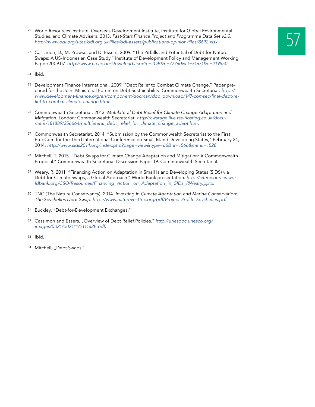- 22 World Resources Institute, Overseas Development Institute, Institute for Global Environmental<br>Studies, and Climate Advisers. 2013. Fast-Start Finance Project and Programme Data Set v2.0.<br>http://www.odi.org/sites/odi.org Studies, and Climate Advisers. 2013. Fast-Start Finance Project and Programme Data Set v2.0. http://www.odi.org/sites/odi.org.uk/files/odi-assets/publications-opinion-files/8692.xlsx*.*
- <sup>23</sup> Cassimon, D., M. Prowse, and D. Essers. 2009. "The Pitfalls and Potential of Debt-for-Nature Swaps: A US-Indonesian Case Study." Institute of Development Policy and Management Working Paper/2009.07. http://www.ua.ac.be/Download.aspx?c=.IOB&n=77760&ct=71671&e=219550*.*

<sup>24</sup> Ibid.

- <sup>25</sup> Development Finance International. 2009. "Debt Relief to Combat Climate Change." Paper prepared for the Joint Ministerial Forum on Debt Sustainability. Commonwealth Secretariat. *http://* www.development-finance.org/en/component/docman/doc\_download/147-comsec-final-debt-re*lief-to-combat-climate-change.html.*
- <sup>26</sup> Commonwealth Secretariat. 2013. *Multilateral Debt Relief for Climate Change Adaptation and Mitigation.* London: Commonwealth Secretariat. *http://cwstage.live.rss-hosting.co.uk/docu*ment/181889/256664/multilateral\_debt\_relief\_for\_climate\_change\_adapt.htm*.*
- <sup>27</sup> Commonwealth Secretariat. 2014. "Submission by the Commonwealth Secretariat to the First PrepCom for the Third International Conference on Small Island Developing States," February 24, 2014. http://www.sids2014.org/index.php?page=view&type=66&nr=1566&menu=1528*.*
- <sup>28</sup> Mitchell, T. 2015. "Debt Swaps for Climate Change Adaptation and Mitigation: A Commonwealth Proposal." Commonwealth Secretariat Discussion Paper 19. Commonwealth Secretariat.
- <sup>29</sup> Weary, R. 2011. "Financing Action on Adaptation in Small Island Developing States (SIDS) via Debt-for-Climate Swaps, a Global Approach." World Bank presentation. *http://siteresources.wor*ldbank.org/CSO/Resources/Financing\_Action\_on\_Adaptation\_in\_SIDs\_RWeary.pptx*.*
- <sup>30</sup> TNC (The Nature Conservancy). 2014. *Investing in Climate Adaptation and Marine Conservation: The Seychelles Debt Swap.* http://www.naturevesttnc.org/pdf/Project-Profile-Seychelles.pdf*.*
- <sup>31</sup> Buckley, "Debt-for-Development Exchanges."
- <sup>32</sup> Cassimon and Essers, "Overview of Debt Relief Policies." *http://unesdoc.unesco.org/* images/0021/002111/211162E.pdf*.*
- <sup>33</sup> Ibid.
- 34 Mitchell, "Debt Swaps."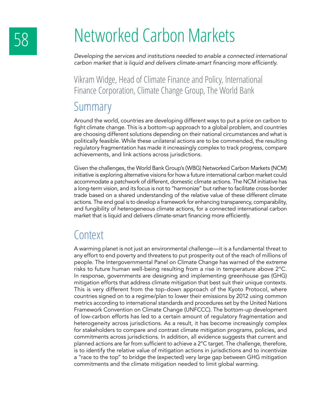# 58 Networked Carbon Markets

*Developing the services and institutions needed to enable a connected international*  carbon market that is liquid and delivers climate-smart financing more efficiently.

Vikram Widge, Head of Climate Finance and Policy, International Finance Corporation, Climate Change Group, The World Bank

#### Summary

Around the world, countries are developing different ways to put a price on carbon to fight climate change. This is a bottom-up approach to a global problem, and countries are choosing different solutions depending on their national circumstances and what is politically feasible. While these unilateral actions are to be commended, the resulting regulatory fragmentation has made it increasingly complex to track progress, compare achievements, and link actions across jurisdictions.

Given the challenges, the World Bank Group's (WBG) Networked Carbon Markets (NCM) initiative is exploring alternative visions for how a future international carbon market could accommodate a patchwork of different, domestic climate actions. The NCM initiative has a long-term vision, and its focus is not to "harmonize" but rather to facilitate cross-border trade based on a shared understanding of the relative value of these different climate actions. The end goal is to develop a framework for enhancing transparency, comparability, and fungibility of heterogeneous climate actions, for a connected international carbon market that is liquid and delivers climate-smart financing more efficiently.

#### **Context**

A warming planet is not just an environmental challenge—it is a fundamental threat to any effort to end poverty and threatens to put prosperity out of the reach of millions of people. The Intergovernmental Panel on Climate Change has warned of the extreme risks to future human well-being resulting from a rise in temperature above 2°C. In response, governments are designing and implementing greenhouse gas (GHG) mitigation efforts that address climate mitigation that best suit their unique contexts. This is very different from the top-down approach of the Kyoto Protocol, where countries signed on to a regime/plan to lower their emissions by 2012 using common metrics according to international standards and procedures set by the United Nations Framework Convention on Climate Change (UNFCCC). The bottom-up development of low-carbon efforts has led to a certain amount of regulatory fragmentation and heterogeneity across jurisdictions. As a result, it has become increasingly complex for stakeholders to compare and contrast climate mitigation programs, policies, and commitments across jurisdictions. In addition, all evidence suggests that current and planned actions are far from sufficient to achieve a 2°C target. The challenge, therefore, is to identify the relative value of mitigation actions in jurisdictions and to incentivize a "race to the top" to bridge the (expected) very large gap between GHG mitigation commitments and the climate mitigation needed to limit global warming.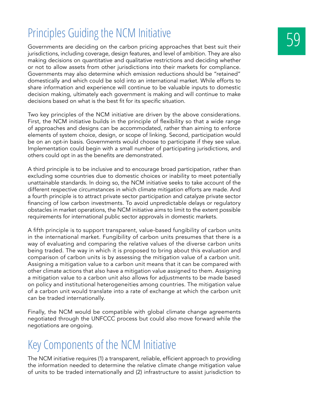### Principles Guiding the NCM Initiative

Governments are deciding on the carbon pricing approaches that best suit their jurisdictions, including coverage, design features, and level of ambition. They are also making decisions on quantitative and qualitative restrictions and deciding whether or not to allow assets from other jurisdictions into their markets for compliance. Governments may also determine which emission reductions should be "retained" domestically and which could be sold into an international market. While efforts to share information and experience will continue to be valuable inputs to domestic decision making, ultimately each government is making and will continue to make decisions based on what is the best fit for its specific situation.

Two key principles of the NCM initiative are driven by the above considerations. First, the NCM initiative builds in the principle of flexibility so that a wide range of approaches and designs can be accommodated, rather than aiming to enforce elements of system choice, design, or scope of linking. Second, participation would be on an opt-in basis. Governments would choose to participate if they see value. Implementation could begin with a small number of participating jurisdictions, and others could opt in as the benefits are demonstrated.

A third principle is to be inclusive and to encourage broad participation, rather than excluding some countries due to domestic choices or inability to meet potentially unattainable standards. In doing so, the NCM initiative seeks to take account of the different respective circumstances in which climate mitigation efforts are made. And a fourth principle is to attract private sector participation and catalyze private sector financing of low carbon investments. To avoid unpredictable delays or regulatory obstacles in market operations, the NCM initiative aims to limit to the extent possible requirements for international public sector approvals in domestic markets.

A fifth principle is to support transparent, value-based fungibility of carbon units in the international market. Fungibility of carbon units presumes that there is a way of evaluating and comparing the relative values of the diverse carbon units being traded. The way in which it is proposed to bring about this evaluation and comparison of carbon units is by assessing the mitigation value of a carbon unit. Assigning a mitigation value to a carbon unit means that it can be compared with other climate actions that also have a mitigation value assigned to them. Assigning a mitigation value to a carbon unit also allows for adjustments to be made based on policy and institutional heterogeneities among countries. The mitigation value of a carbon unit would translate into a rate of exchange at which the carbon unit can be traded internationally.

Finally, the NCM would be compatible with global climate change agreements negotiated through the UNFCCC process but could also move forward while the negotiations are ongoing.

### Key Components of the NCM Initiative

The NCM initiative requires (1) a transparent, reliable, efficient approach to providing the information needed to determine the relative climate change mitigation value of units to be traded internationally and (2) infrastructure to assist jurisdiction to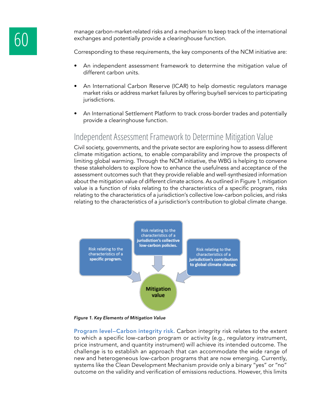manage carbon-market-related risks and a mechanism to keep track of the international exchanges and potentially provide a clearinghouse function.

Corresponding to these requirements, the key components of the NCM initiative are:

- An independent assessment framework to determine the mitigation value of different carbon units.
- An International Carbon Reserve (ICAR) to help domestic regulators manage market risks or address market failures by offering buy/sell services to participating jurisdictions.
- An International Settlement Platform to track cross-border trades and potentially provide a clearinghouse function.

#### Independent Assessment Framework to Determine Mitigation Value

Civil society, governments, and the private sector are exploring how to assess different climate mitigation actions, to enable comparability and improve the prospects of limiting global warming. Through the NCM initiative, the WBG is helping to convene these stakeholders to explore how to enhance the usefulness and acceptance of the assessment outcomes such that they provide reliable and well-synthesized information about the mitigation value of different climate actions. As outlined in Figure 1, mitigation value is a function of risks relating to the characteristics of a specific program, risks relating to the characteristics of a jurisdiction's collective low-carbon policies, and risks relating to the characteristics of a jurisdiction's contribution to global climate change.



*Figure 1. Key Elements of Mitigation Value*

**Program level—Carbon integrity risk.** Carbon integrity risk relates to the extent to which a specific low-carbon program or activity (e.g., regulatory instrument, price instrument, and quantity instrument) will achieve its intended outcome. The challenge is to establish an approach that can accommodate the wide range of new and heterogeneous low-carbon programs that are now emerging. Currently, systems like the Clean Development Mechanism provide only a binary "yes" or "no" outcome on the validity and verification of emissions reductions. However, this limits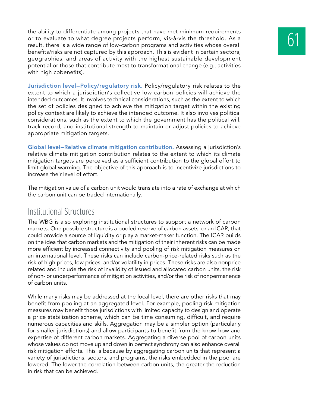the ability to differentiate among projects that have met minimum requirements<br>or to evaluate to what degree projects perform, vis-à-vis the threshold. As a<br>result, there is a wide range of low-carbon programs and activiti or to evaluate to what degree projects perform, vis-à-vis the threshold. As a benefits/risks are not captured by this approach. This is evident in certain sectors, geographies, and areas of activity with the highest sustainable development potential or those that contribute most to transformational change (e.g., activities with high cobenefits).

**Jurisdiction level—Policy/regulatory risk.** Policy/regulatory risk relates to the extent to which a jurisdiction's collective low-carbon policies will achieve the intended outcomes. It involves technical considerations, such as the extent to which the set of policies designed to achieve the mitigation target within the existing policy context are likely to achieve the intended outcome. It also involves political considerations, such as the extent to which the government has the political will, track record, and institutional strength to maintain or adjust policies to achieve appropriate mitigation targets.

**Global level—Relative climate mitigation contribution.** Assessing a jurisdiction's relative climate mitigation contribution relates to the extent to which its climate mitigation targets are perceived as a sufficient contribution to the global effort to limit global warming. The objective of this approach is to incentivize jurisdictions to increase their level of effort.

The mitigation value of a carbon unit would translate into a rate of exchange at which the carbon unit can be traded internationally.

#### Institutional Structures

The WBG is also exploring institutional structures to support a network of carbon markets. One possible structure is a pooled reserve of carbon assets, or an ICAR, that could provide a source of liquidity or play a market-maker function. The ICAR builds on the idea that carbon markets and the mitigation of their inherent risks can be made more efficient by increased connectivity and pooling of risk mitigation measures on an international level. These risks can include carbon-price-related risks such as the risk of high prices, low prices, and/or volatility in prices. These risks are also nonprice related and include the risk of invalidity of issued and allocated carbon units, the risk of non- or underperformance of mitigation activities, and/or the risk of nonpermanence of carbon units.

While many risks may be addressed at the local level, there are other risks that may benefit from pooling at an aggregated level. For example, pooling risk mitigation measures may benefit those jurisdictions with limited capacity to design and operate a price stabilization scheme, which can be time consuming, difficult, and require numerous capacities and skills. Aggregation may be a simpler option (particularly for smaller jurisdictions) and allow participants to benefit from the know-how and expertise of different carbon markets. Aggregating a diverse pool of carbon units whose values do not move up and down in perfect synchrony can also enhance overall risk mitigation efforts. This is because by aggregating carbon units that represent a variety of jurisdictions, sectors, and programs, the risks embedded in the pool are lowered. The lower the correlation between carbon units, the greater the reduction in risk that can be achieved.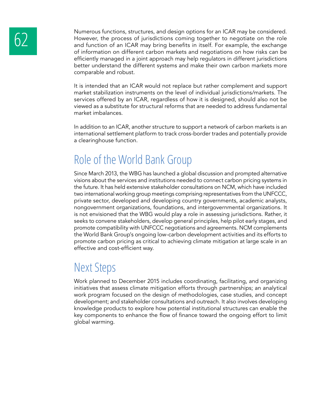Numerous functions, structures, and design options for an ICAR may be considered.<br>However, the process of jurisdictions coming together to negotiate on the role<br>and function of an ICAR may bring benefits in itself. For exa However, the process of jurisdictions coming together to negotiate on the role and function of an ICAR may bring benefits in itself. For example, the exchange of information on different carbon markets and negotiations on how risks can be efficiently managed in a joint approach may help regulators in different jurisdictions better understand the different systems and make their own carbon markets more comparable and robust.

> It is intended that an ICAR would not replace but rather complement and support market stabilization instruments on the level of individual jurisdictions/markets. The services offered by an ICAR, regardless of how it is designed, should also not be viewed as a substitute for structural reforms that are needed to address fundamental market imbalances.

> In addition to an ICAR, another structure to support a network of carbon markets is an international settlement platform to track cross-border trades and potentially provide a clearinghouse function.

### Role of the World Bank Group

Since March 2013, the WBG has launched a global discussion and prompted alternative visions about the services and institutions needed to connect carbon pricing systems in the future. It has held extensive stakeholder consultations on NCM, which have included two international working group meetings comprising representatives from the UNFCCC, private sector, developed and developing country governments, academic analysts, nongovernment organizations, foundations, and intergovernmental organizations. It is not envisioned that the WBG would play a role in assessing jurisdictions. Rather, it seeks to convene stakeholders, develop general principles, help pilot early stages, and promote compatibility with UNFCCC negotiations and agreements. NCM complements the World Bank Group's ongoing low-carbon development activities and its efforts to promote carbon pricing as critical to achieving climate mitigation at large scale in an effective and cost-efficient way.

#### Next Steps

Work planned to December 2015 includes coordinating, facilitating, and organizing initiatives that assess climate mitigation efforts through partnerships; an analytical work program focused on the design of methodologies, case studies, and concept development; and stakeholder consultations and outreach. It also involves developing knowledge products to explore how potential institutional structures can enable the key components to enhance the flow of finance toward the ongoing effort to limit global warming.